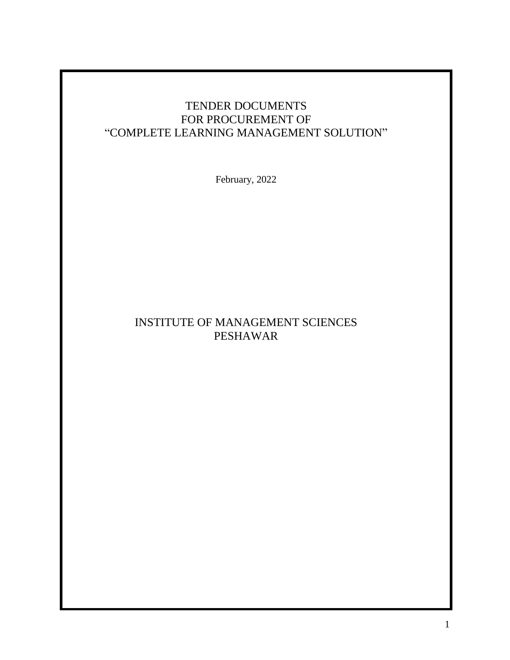# TENDER DOCUMENTS FOR PROCUREMENT OF "COMPLETE LEARNING MANAGEMENT SOLUTION"

February, 2022

# INSTITUTE OF MANAGEMENT SCIENCES PESHAWAR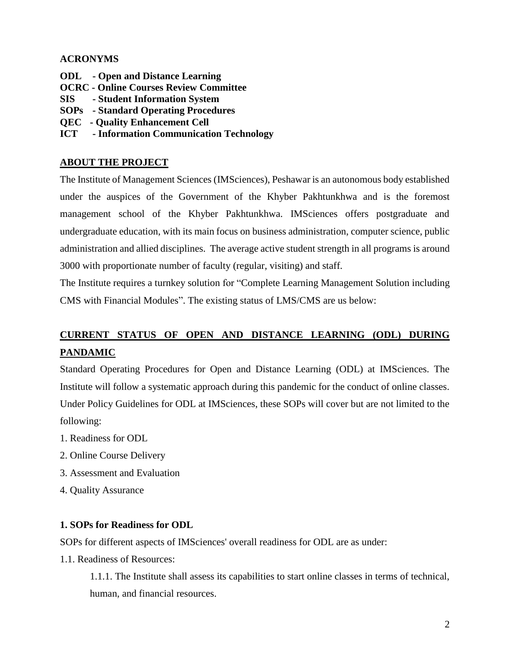### **ACRONYMS**

- **ODL - Open and Distance Learning**
- **OCRC - Online Courses Review Committee**
- **SIS - Student Information System**
- **SOPs - Standard Operating Procedures**
- **QEC - Quality Enhancement Cell**
- **ICT - Information Communication Technology**

### **ABOUT THE PROJECT**

The Institute of Management Sciences (IMSciences), Peshawar is an autonomous body established under the auspices of the Government of the Khyber Pakhtunkhwa and is the foremost management school of the Khyber Pakhtunkhwa. IMSciences offers postgraduate and undergraduate education, with its main focus on business administration, computer science, public administration and allied disciplines. The average active student strength in all programs is around 3000 with proportionate number of faculty (regular, visiting) and staff.

The Institute requires a turnkey solution for "Complete Learning Management Solution including CMS with Financial Modules". The existing status of LMS/CMS are us below:

# **CURRENT STATUS OF OPEN AND DISTANCE LEARNING (ODL) DURING PANDAMIC**

Standard Operating Procedures for Open and Distance Learning (ODL) at IMSciences. The Institute will follow a systematic approach during this pandemic for the conduct of online classes. Under Policy Guidelines for ODL at IMSciences, these SOPs will cover but are not limited to the following:

- 1. Readiness for ODL
- 2. Online Course Delivery
- 3. Assessment and Evaluation
- 4. Quality Assurance

### **1. SOPs for Readiness for ODL**

SOPs for different aspects of IMSciences' overall readiness for ODL are as under:

1.1. Readiness of Resources:

1.1.1. The Institute shall assess its capabilities to start online classes in terms of technical, human, and financial resources.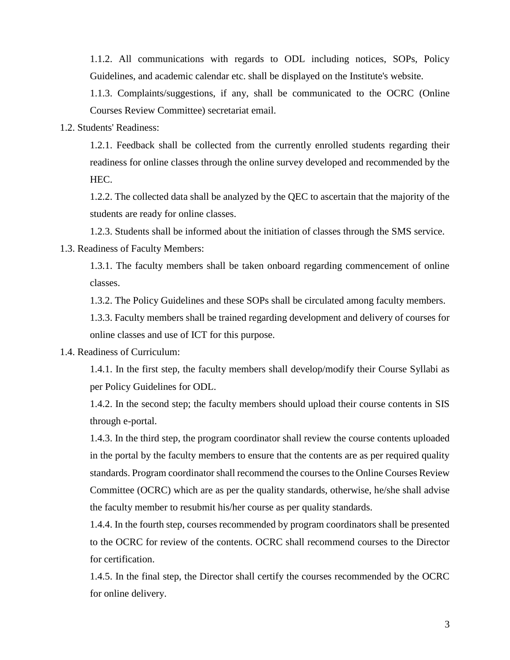1.1.2. All communications with regards to ODL including notices, SOPs, Policy Guidelines, and academic calendar etc. shall be displayed on the Institute's website.

1.1.3. Complaints/suggestions, if any, shall be communicated to the OCRC (Online Courses Review Committee) secretariat email.

1.2. Students' Readiness:

1.2.1. Feedback shall be collected from the currently enrolled students regarding their readiness for online classes through the online survey developed and recommended by the HEC.

1.2.2. The collected data shall be analyzed by the QEC to ascertain that the majority of the students are ready for online classes.

1.2.3. Students shall be informed about the initiation of classes through the SMS service.

1.3. Readiness of Faculty Members:

1.3.1. The faculty members shall be taken onboard regarding commencement of online classes.

1.3.2. The Policy Guidelines and these SOPs shall be circulated among faculty members.

1.3.3. Faculty members shall be trained regarding development and delivery of courses for online classes and use of ICT for this purpose.

1.4. Readiness of Curriculum:

1.4.1. In the first step, the faculty members shall develop/modify their Course Syllabi as per Policy Guidelines for ODL.

1.4.2. In the second step; the faculty members should upload their course contents in SIS through e-portal.

1.4.3. In the third step, the program coordinator shall review the course contents uploaded in the portal by the faculty members to ensure that the contents are as per required quality standards. Program coordinator shall recommend the courses to the Online Courses Review Committee (OCRC) which are as per the quality standards, otherwise, he/she shall advise the faculty member to resubmit his/her course as per quality standards.

1.4.4. In the fourth step, courses recommended by program coordinators shall be presented to the OCRC for review of the contents. OCRC shall recommend courses to the Director for certification.

1.4.5. In the final step, the Director shall certify the courses recommended by the OCRC for online delivery.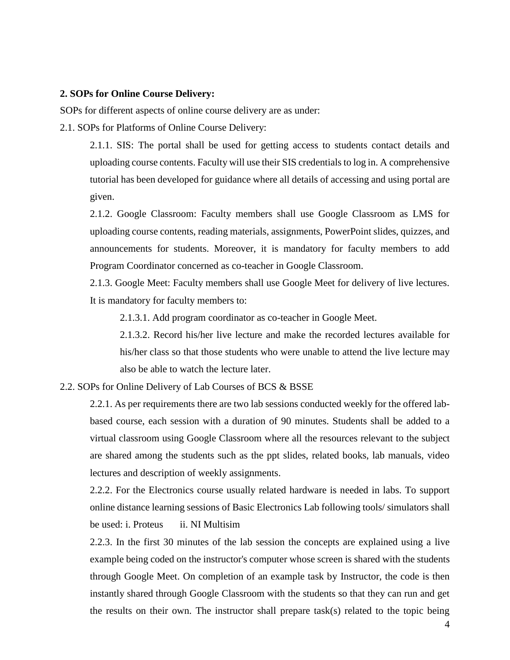#### **2. SOPs for Online Course Delivery:**

SOPs for different aspects of online course delivery are as under:

2.1. SOPs for Platforms of Online Course Delivery:

2.1.1. SIS: The portal shall be used for getting access to students contact details and uploading course contents. Faculty will use their SIS credentials to log in. A comprehensive tutorial has been developed for guidance where all details of accessing and using portal are given.

2.1.2. Google Classroom: Faculty members shall use Google Classroom as LMS for uploading course contents, reading materials, assignments, PowerPoint slides, quizzes, and announcements for students. Moreover, it is mandatory for faculty members to add Program Coordinator concerned as co-teacher in Google Classroom.

2.1.3. Google Meet: Faculty members shall use Google Meet for delivery of live lectures. It is mandatory for faculty members to:

2.1.3.1. Add program coordinator as co-teacher in Google Meet.

2.1.3.2. Record his/her live lecture and make the recorded lectures available for his/her class so that those students who were unable to attend the live lecture may also be able to watch the lecture later.

2.2. SOPs for Online Delivery of Lab Courses of BCS & BSSE

2.2.1. As per requirements there are two lab sessions conducted weekly for the offered labbased course, each session with a duration of 90 minutes. Students shall be added to a virtual classroom using Google Classroom where all the resources relevant to the subject are shared among the students such as the ppt slides, related books, lab manuals, video lectures and description of weekly assignments.

2.2.2. For the Electronics course usually related hardware is needed in labs. To support online distance learning sessions of Basic Electronics Lab following tools/ simulators shall be used: i. Proteus ii. NI Multisim

2.2.3. In the first 30 minutes of the lab session the concepts are explained using a live example being coded on the instructor's computer whose screen is shared with the students through Google Meet. On completion of an example task by Instructor, the code is then instantly shared through Google Classroom with the students so that they can run and get the results on their own. The instructor shall prepare task(s) related to the topic being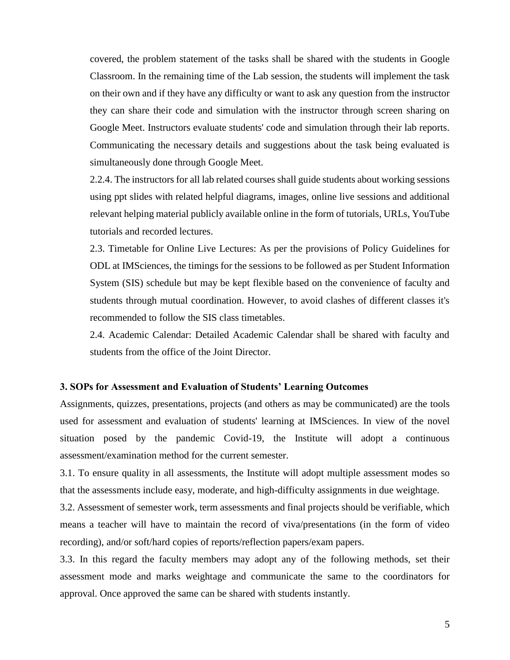covered, the problem statement of the tasks shall be shared with the students in Google Classroom. In the remaining time of the Lab session, the students will implement the task on their own and if they have any difficulty or want to ask any question from the instructor they can share their code and simulation with the instructor through screen sharing on Google Meet. Instructors evaluate students' code and simulation through their lab reports. Communicating the necessary details and suggestions about the task being evaluated is simultaneously done through Google Meet.

2.2.4. The instructors for all lab related courses shall guide students about working sessions using ppt slides with related helpful diagrams, images, online live sessions and additional relevant helping material publicly available online in the form of tutorials, URLs, YouTube tutorials and recorded lectures.

2.3. Timetable for Online Live Lectures: As per the provisions of Policy Guidelines for ODL at IMSciences, the timings for the sessions to be followed as per Student Information System (SIS) schedule but may be kept flexible based on the convenience of faculty and students through mutual coordination. However, to avoid clashes of different classes it's recommended to follow the SIS class timetables.

2.4. Academic Calendar: Detailed Academic Calendar shall be shared with faculty and students from the office of the Joint Director.

#### **3. SOPs for Assessment and Evaluation of Students' Learning Outcomes**

Assignments, quizzes, presentations, projects (and others as may be communicated) are the tools used for assessment and evaluation of students' learning at IMSciences. In view of the novel situation posed by the pandemic Covid-19, the Institute will adopt a continuous assessment/examination method for the current semester.

3.1. To ensure quality in all assessments, the Institute will adopt multiple assessment modes so that the assessments include easy, moderate, and high-difficulty assignments in due weightage.

3.2. Assessment of semester work, term assessments and final projects should be verifiable, which means a teacher will have to maintain the record of viva/presentations (in the form of video recording), and/or soft/hard copies of reports/reflection papers/exam papers.

3.3. In this regard the faculty members may adopt any of the following methods, set their assessment mode and marks weightage and communicate the same to the coordinators for approval. Once approved the same can be shared with students instantly.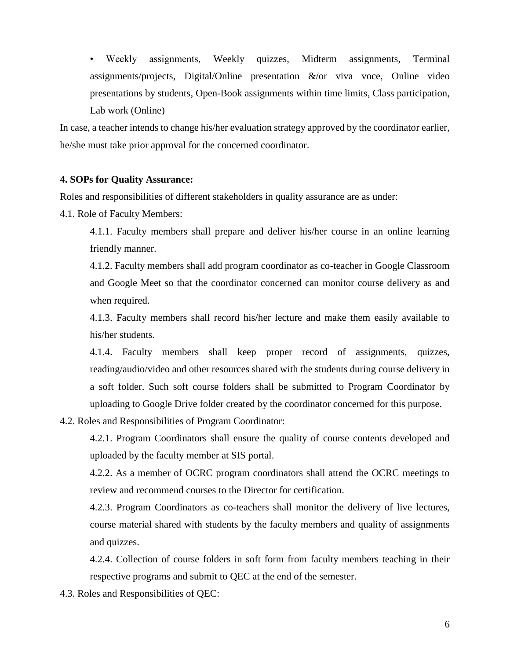• Weekly assignments, Weekly quizzes, Midterm assignments, Terminal assignments/projects, Digital/Online presentation &/or viva voce, Online video presentations by students, Open-Book assignments within time limits, Class participation, Lab work (Online)

In case, a teacher intends to change his/her evaluation strategy approved by the coordinator earlier, he/she must take prior approval for the concerned coordinator.

#### **4. SOPs for Quality Assurance:**

Roles and responsibilities of different stakeholders in quality assurance are as under:

4.1. Role of Faculty Members:

4.1.1. Faculty members shall prepare and deliver his/her course in an online learning friendly manner.

4.1.2. Faculty members shall add program coordinator as co-teacher in Google Classroom and Google Meet so that the coordinator concerned can monitor course delivery as and when required.

4.1.3. Faculty members shall record his/her lecture and make them easily available to his/her students.

4.1.4. Faculty members shall keep proper record of assignments, quizzes, reading/audio/video and other resources shared with the students during course delivery in a soft folder. Such soft course folders shall be submitted to Program Coordinator by uploading to Google Drive folder created by the coordinator concerned for this purpose.

4.2. Roles and Responsibilities of Program Coordinator:

4.2.1. Program Coordinators shall ensure the quality of course contents developed and uploaded by the faculty member at SIS portal.

4.2.2. As a member of OCRC program coordinators shall attend the OCRC meetings to review and recommend courses to the Director for certification.

4.2.3. Program Coordinators as co-teachers shall monitor the delivery of live lectures, course material shared with students by the faculty members and quality of assignments and quizzes.

4.2.4. Collection of course folders in soft form from faculty members teaching in their respective programs and submit to QEC at the end of the semester.

4.3. Roles and Responsibilities of QEC: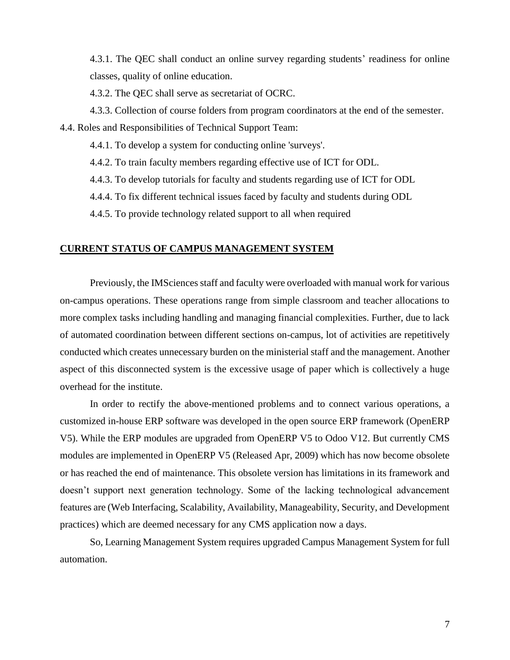4.3.1. The QEC shall conduct an online survey regarding students' readiness for online classes, quality of online education.

4.3.2. The QEC shall serve as secretariat of OCRC.

4.3.3. Collection of course folders from program coordinators at the end of the semester.

4.4. Roles and Responsibilities of Technical Support Team:

4.4.1. To develop a system for conducting online 'surveys'.

4.4.2. To train faculty members regarding effective use of ICT for ODL.

4.4.3. To develop tutorials for faculty and students regarding use of ICT for ODL

4.4.4. To fix different technical issues faced by faculty and students during ODL

4.4.5. To provide technology related support to all when required

#### **CURRENT STATUS OF CAMPUS MANAGEMENT SYSTEM**

Previously, the IMSciences staff and faculty were overloaded with manual work for various on-campus operations. These operations range from simple classroom and teacher allocations to more complex tasks including handling and managing financial complexities. Further, due to lack of automated coordination between different sections on-campus, lot of activities are repetitively conducted which creates unnecessary burden on the ministerial staff and the management. Another aspect of this disconnected system is the excessive usage of paper which is collectively a huge overhead for the institute.

In order to rectify the above-mentioned problems and to connect various operations, a customized in-house ERP software was developed in the open source ERP framework (OpenERP V5). While the ERP modules are upgraded from OpenERP V5 to Odoo V12. But currently CMS modules are implemented in OpenERP V5 (Released Apr, 2009) which has now become obsolete or has reached the end of maintenance. This obsolete version has limitations in its framework and doesn't support next generation technology. Some of the lacking technological advancement features are (Web Interfacing, Scalability, Availability, Manageability, Security, and Development practices) which are deemed necessary for any CMS application now a days.

So, Learning Management System requires upgraded Campus Management System for full automation.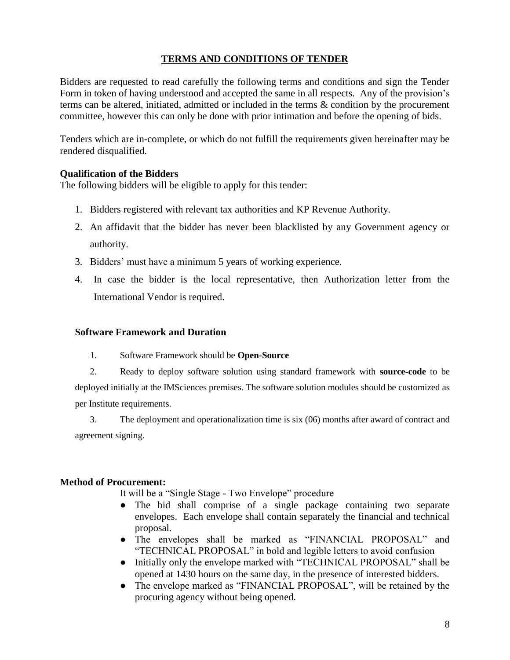### **TERMS AND CONDITIONS OF TENDER**

Bidders are requested to read carefully the following terms and conditions and sign the Tender Form in token of having understood and accepted the same in all respects. Any of the provision's terms can be altered, initiated, admitted or included in the terms & condition by the procurement committee, however this can only be done with prior intimation and before the opening of bids.

Tenders which are in-complete, or which do not fulfill the requirements given hereinafter may be rendered disqualified.

#### **Qualification of the Bidders**

The following bidders will be eligible to apply for this tender:

- 1. Bidders registered with relevant tax authorities and KP Revenue Authority.
- 2. An affidavit that the bidder has never been blacklisted by any Government agency or authority.
- 3. Bidders' must have a minimum 5 years of working experience.
- 4. In case the bidder is the local representative, then Authorization letter from the International Vendor is required.

#### **Software Framework and Duration**

- 1. Software Framework should be **Open-Source**
- 2. Ready to deploy software solution using standard framework with **source-code** to be deployed initially at the IMSciences premises. The software solution modules should be customized as per Institute requirements.

3. The deployment and operationalization time is six (06) months after award of contract and agreement signing.

#### **Method of Procurement:**

It will be a "Single Stage - Two Envelope" procedure

- The bid shall comprise of a single package containing two separate envelopes. Each envelope shall contain separately the financial and technical proposal.
- The envelopes shall be marked as "FINANCIAL PROPOSAL" and "TECHNICAL PROPOSAL" in bold and legible letters to avoid confusion
- Initially only the envelope marked with "TECHNICAL PROPOSAL" shall be opened at 1430 hours on the same day, in the presence of interested bidders.
- The envelope marked as "FINANCIAL PROPOSAL", will be retained by the procuring agency without being opened.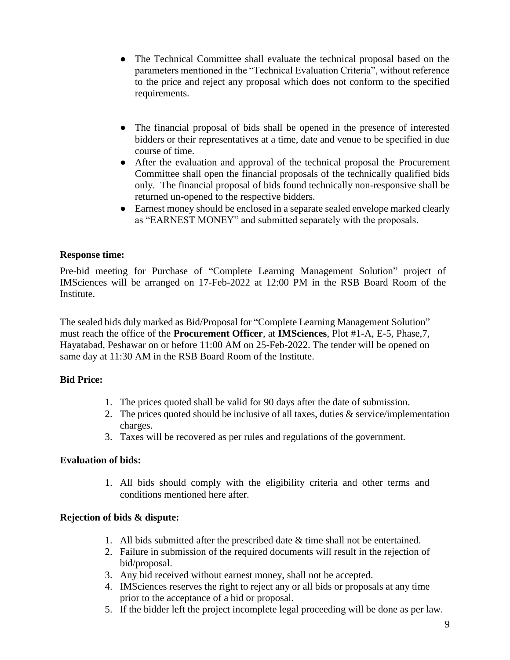- The Technical Committee shall evaluate the technical proposal based on the parameters mentioned in the "Technical Evaluation Criteria", without reference to the price and reject any proposal which does not conform to the specified requirements.
- The financial proposal of bids shall be opened in the presence of interested bidders or their representatives at a time, date and venue to be specified in due course of time.
- After the evaluation and approval of the technical proposal the Procurement Committee shall open the financial proposals of the technically qualified bids only. The financial proposal of bids found technically non-responsive shall be returned un-opened to the respective bidders.
- Earnest money should be enclosed in a separate sealed envelope marked clearly as "EARNEST MONEY" and submitted separately with the proposals.

### **Response time:**

Pre-bid meeting for Purchase of "Complete Learning Management Solution" project of IMSciences will be arranged on 17-Feb-2022 at 12:00 PM in the RSB Board Room of the Institute.

The sealed bids duly marked as Bid/Proposal for "Complete Learning Management Solution" must reach the office of the **Procurement Officer**, at **IMSciences**, Plot #1-A, E-5, Phase,7, Hayatabad, Peshawar on or before 11:00 AM on 25-Feb-2022. The tender will be opened on same day at 11:30 AM in the RSB Board Room of the Institute.

### **Bid Price:**

- 1. The prices quoted shall be valid for 90 days after the date of submission.
- 2. The prices quoted should be inclusive of all taxes, duties  $\&$  service/implementation charges.
- 3. Taxes will be recovered as per rules and regulations of the government.

### **Evaluation of bids:**

1. All bids should comply with the eligibility criteria and other terms and conditions mentioned here after.

### **Rejection of bids & dispute:**

- 1. All bids submitted after the prescribed date & time shall not be entertained.
- 2. Failure in submission of the required documents will result in the rejection of bid/proposal.
- 3. Any bid received without earnest money, shall not be accepted.
- 4. IMSciences reserves the right to reject any or all bids or proposals at any time prior to the acceptance of a bid or proposal.
- 5. If the bidder left the project incomplete legal proceeding will be done as per law.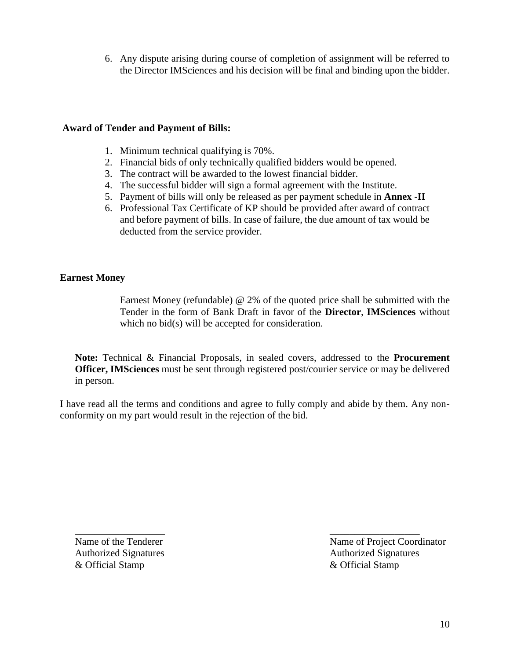6. Any dispute arising during course of completion of assignment will be referred to the Director IMSciences and his decision will be final and binding upon the bidder.

#### **Award of Tender and Payment of Bills:**

- 1. Minimum technical qualifying is 70%.
- 2. Financial bids of only technically qualified bidders would be opened.
- 3. The contract will be awarded to the lowest financial bidder.
- 4. The successful bidder will sign a formal agreement with the Institute.
- 5. Payment of bills will only be released as per payment schedule in **Annex -II**
- 6. Professional Tax Certificate of KP should be provided after award of contract and before payment of bills. In case of failure, the due amount of tax would be deducted from the service provider.

#### **Earnest Money**

Earnest Money (refundable) @ 2% of the quoted price shall be submitted with the Tender in the form of Bank Draft in favor of the **Director**, **IMSciences** without which no bid(s) will be accepted for consideration.

**Note:** Technical & Financial Proposals, in sealed covers, addressed to the **Procurement Officer, IMSciences** must be sent through registered post/courier service or may be delivered in person.

I have read all the terms and conditions and agree to fully comply and abide by them. Any nonconformity on my part would result in the rejection of the bid.

\_\_\_\_\_\_\_\_\_\_\_\_\_\_\_\_\_\_ \_\_\_\_\_\_\_\_\_\_\_\_\_\_\_\_\_\_ & Official Stamp & Official Stamp

Name of the Tenderer Name of Project Coordinator Authorized Signatures **Authorized Signatures** Authorized Signatures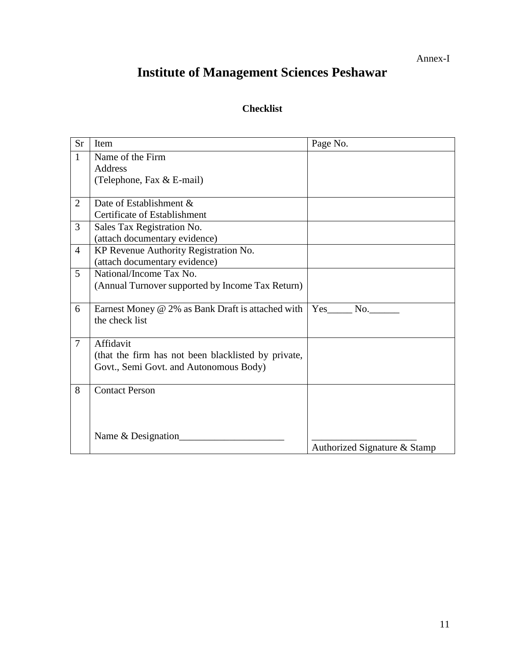Annex-I

# **Institute of Management Sciences Peshawar**

# **Checklist**

| <b>Sr</b>      | Item                                                | Page No.                     |
|----------------|-----------------------------------------------------|------------------------------|
| $\mathbf{1}$   | Name of the Firm                                    |                              |
|                | <b>Address</b>                                      |                              |
|                | (Telephone, Fax & E-mail)                           |                              |
|                |                                                     |                              |
| 2              | Date of Establishment &                             |                              |
|                | Certificate of Establishment                        |                              |
| 3              | Sales Tax Registration No.                          |                              |
|                | (attach documentary evidence)                       |                              |
| $\overline{4}$ | KP Revenue Authority Registration No.               |                              |
|                | (attach documentary evidence)                       |                              |
| 5              | National/Income Tax No.                             |                              |
|                | (Annual Turnover supported by Income Tax Return)    |                              |
|                |                                                     |                              |
| 6              | Earnest Money @ 2% as Bank Draft is attached with   | Yes<br>No.                   |
|                | the check list                                      |                              |
|                |                                                     |                              |
| $\overline{7}$ | Affidavit                                           |                              |
|                | (that the firm has not been blacklisted by private, |                              |
|                | Govt., Semi Govt. and Autonomous Body)              |                              |
| 8              | <b>Contact Person</b>                               |                              |
|                |                                                     |                              |
|                |                                                     |                              |
|                |                                                     |                              |
|                | Name & Designation                                  |                              |
|                |                                                     | Authorized Signature & Stamp |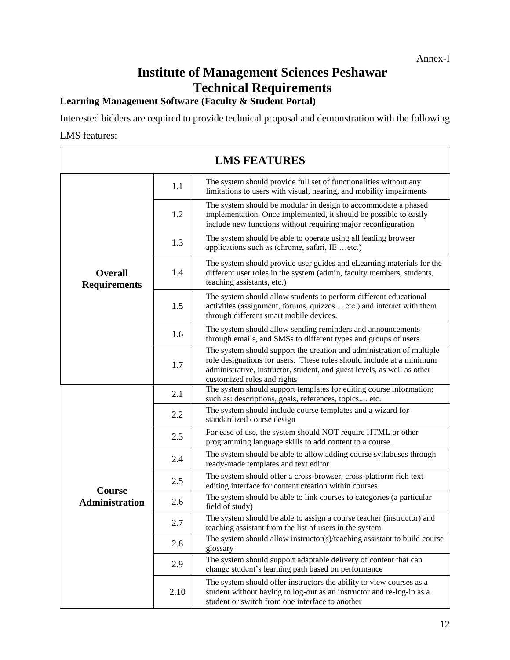# **Institute of Management Sciences Peshawar Technical Requirements**

### **Learning Management Software (Faculty & Student Portal)**

Interested bidders are required to provide technical proposal and demonstration with the following

### LMS features:

| <b>LMS FEATURES</b>                   |      |                                                                                                                                                                                                                                                         |  |
|---------------------------------------|------|---------------------------------------------------------------------------------------------------------------------------------------------------------------------------------------------------------------------------------------------------------|--|
|                                       | 1.1  | The system should provide full set of functionalities without any<br>limitations to users with visual, hearing, and mobility impairments                                                                                                                |  |
|                                       | 1.2  | The system should be modular in design to accommodate a phased<br>implementation. Once implemented, it should be possible to easily<br>include new functions without requiring major reconfiguration                                                    |  |
|                                       | 1.3  | The system should be able to operate using all leading browser<br>applications such as (chrome, safari, IE etc.)                                                                                                                                        |  |
| <b>Overall</b><br><b>Requirements</b> | 1.4  | The system should provide user guides and eLearning materials for the<br>different user roles in the system (admin, faculty members, students,<br>teaching assistants, etc.)                                                                            |  |
|                                       | 1.5  | The system should allow students to perform different educational<br>activities (assignment, forums, quizzes etc.) and interact with them<br>through different smart mobile devices.                                                                    |  |
|                                       | 1.6  | The system should allow sending reminders and announcements<br>through emails, and SMSs to different types and groups of users.                                                                                                                         |  |
|                                       | 1.7  | The system should support the creation and administration of multiple<br>role designations for users. These roles should include at a minimum<br>administrative, instructor, student, and guest levels, as well as other<br>customized roles and rights |  |
|                                       | 2.1  | The system should support templates for editing course information;<br>such as: descriptions, goals, references, topics etc.                                                                                                                            |  |
|                                       | 2.2  | The system should include course templates and a wizard for<br>standardized course design                                                                                                                                                               |  |
|                                       | 2.3  | For ease of use, the system should NOT require HTML or other<br>programming language skills to add content to a course.                                                                                                                                 |  |
|                                       | 2.4  | The system should be able to allow adding course syllabuses through<br>ready-made templates and text editor                                                                                                                                             |  |
| Course                                | 2.5  | The system should offer a cross-browser, cross-platform rich text<br>editing interface for content creation within courses                                                                                                                              |  |
| <b>Administration</b>                 | 2.6  | The system should be able to link courses to categories (a particular<br>field of study)                                                                                                                                                                |  |
|                                       | 2.7  | The system should be able to assign a course teacher (instructor) and<br>teaching assistant from the list of users in the system.                                                                                                                       |  |
|                                       | 2.8  | The system should allow instructor(s)/teaching assistant to build course<br>glossary                                                                                                                                                                    |  |
|                                       | 2.9  | The system should support adaptable delivery of content that can<br>change student's learning path based on performance                                                                                                                                 |  |
|                                       | 2.10 | The system should offer instructors the ability to view courses as a<br>student without having to log-out as an instructor and re-log-in as a<br>student or switch from one interface to another                                                        |  |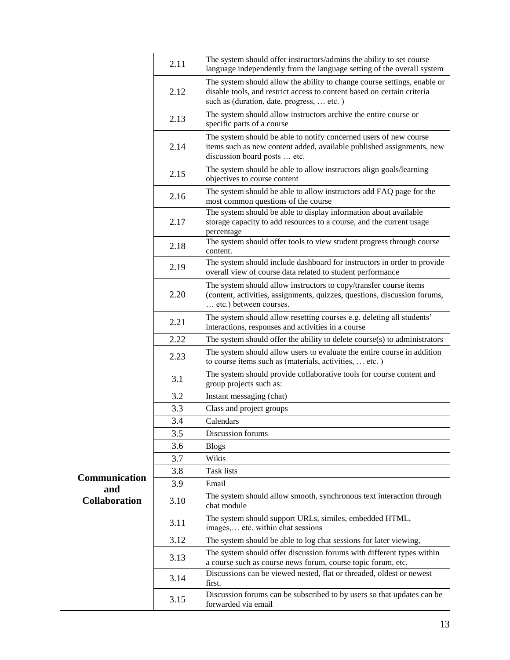|                      | 2.11 | The system should offer instructors/admins the ability to set course<br>language independently from the language setting of the overall system                                                   |
|----------------------|------|--------------------------------------------------------------------------------------------------------------------------------------------------------------------------------------------------|
|                      | 2.12 | The system should allow the ability to change course settings, enable or<br>disable tools, and restrict access to content based on certain criteria<br>such as (duration, date, progress,  etc.) |
|                      | 2.13 | The system should allow instructors archive the entire course or<br>specific parts of a course                                                                                                   |
|                      | 2.14 | The system should be able to notify concerned users of new course<br>items such as new content added, available published assignments, new<br>discussion board posts  etc.                       |
|                      | 2.15 | The system should be able to allow instructors align goals/learning<br>objectives to course content                                                                                              |
|                      | 2.16 | The system should be able to allow instructors add FAQ page for the<br>most common questions of the course                                                                                       |
|                      | 2.17 | The system should be able to display information about available<br>storage capacity to add resources to a course, and the current usage<br>percentage                                           |
|                      | 2.18 | The system should offer tools to view student progress through course<br>content.                                                                                                                |
|                      | 2.19 | The system should include dashboard for instructors in order to provide<br>overall view of course data related to student performance                                                            |
|                      | 2.20 | The system should allow instructors to copy/transfer course items<br>(content, activities, assignments, quizzes, questions, discussion forums,<br>etc.) between courses.                         |
|                      | 2.21 | The system should allow resetting courses e.g. deleting all students'<br>interactions, responses and activities in a course                                                                      |
|                      | 2.22 | The system should offer the ability to delete course(s) to administrators                                                                                                                        |
|                      | 2.23 | The system should allow users to evaluate the entire course in addition<br>to course items such as (materials, activities,  etc.)                                                                |
|                      | 3.1  | The system should provide collaborative tools for course content and<br>group projects such as:                                                                                                  |
|                      | 3.2  | Instant messaging (chat)                                                                                                                                                                         |
|                      | 3.3  | Class and project groups                                                                                                                                                                         |
|                      | 3.4  | Calendars                                                                                                                                                                                        |
|                      | 3.5  | Discussion forums                                                                                                                                                                                |
|                      | 3.6  | <b>Blogs</b>                                                                                                                                                                                     |
|                      | 3.7  | Wikis                                                                                                                                                                                            |
| Communication        | 3.8  | <b>Task lists</b>                                                                                                                                                                                |
| and                  | 3.9  | Email                                                                                                                                                                                            |
| <b>Collaboration</b> | 3.10 | The system should allow smooth, synchronous text interaction through<br>chat module                                                                                                              |
|                      | 3.11 | The system should support URLs, similes, embedded HTML,<br>images, etc. within chat sessions                                                                                                     |
|                      | 3.12 | The system should be able to log chat sessions for later viewing,                                                                                                                                |
|                      | 3.13 | The system should offer discussion forums with different types within<br>a course such as course news forum, course topic forum, etc.                                                            |
|                      | 3.14 | Discussions can be viewed nested, flat or threaded, oldest or newest<br>first.                                                                                                                   |
|                      | 3.15 | Discussion forums can be subscribed to by users so that updates can be<br>forwarded via email                                                                                                    |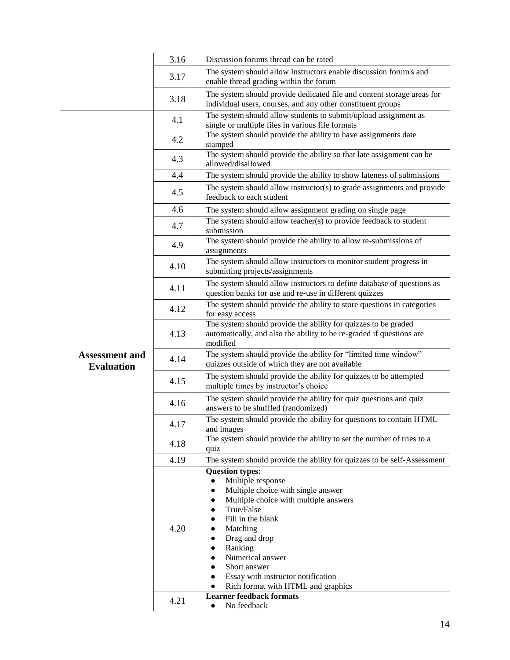|                                            | 3.16 | Discussion forums thread can be rated                                                                                                                                                                                                                                                                                                                                                                |
|--------------------------------------------|------|------------------------------------------------------------------------------------------------------------------------------------------------------------------------------------------------------------------------------------------------------------------------------------------------------------------------------------------------------------------------------------------------------|
|                                            | 3.17 | The system should allow Instructors enable discussion forum's and<br>enable thread grading within the forum                                                                                                                                                                                                                                                                                          |
|                                            | 3.18 | The system should provide dedicated file and content storage areas for<br>individual users, courses, and any other constituent groups                                                                                                                                                                                                                                                                |
|                                            | 4.1  | The system should allow students to submit/upload assignment as<br>single or multiple files in various file formats                                                                                                                                                                                                                                                                                  |
|                                            | 4.2  | The system should provide the ability to have assignments date<br>stamped                                                                                                                                                                                                                                                                                                                            |
|                                            | 4.3  | The system should provide the ability so that late assignment can be<br>allowed/disallowed                                                                                                                                                                                                                                                                                                           |
|                                            | 4.4  | The system should provide the ability to show lateness of submissions                                                                                                                                                                                                                                                                                                                                |
|                                            | 4.5  | The system should allow instructor(s) to grade assignments and provide<br>feedback to each student                                                                                                                                                                                                                                                                                                   |
|                                            | 4.6  | The system should allow assignment grading on single page                                                                                                                                                                                                                                                                                                                                            |
|                                            | 4.7  | The system should allow teacher(s) to provide feedback to student<br>submission                                                                                                                                                                                                                                                                                                                      |
|                                            | 4.9  | The system should provide the ability to allow re-submissions of<br>assignments                                                                                                                                                                                                                                                                                                                      |
|                                            | 4.10 | The system should allow instructors to monitor student progress in<br>submitting projects/assignments                                                                                                                                                                                                                                                                                                |
|                                            | 4.11 | The system should allow instructors to define database of questions as<br>question banks for use and re-use in different quizzes                                                                                                                                                                                                                                                                     |
|                                            | 4.12 | The system should provide the ability to store questions in categories<br>for easy access                                                                                                                                                                                                                                                                                                            |
|                                            | 4.13 | The system should provide the ability for quizzes to be graded<br>automatically, and also the ability to be re-graded if questions are<br>modified                                                                                                                                                                                                                                                   |
| <b>Assessment and</b><br><b>Evaluation</b> | 4.14 | The system should provide the ability for "limited time window"<br>quizzes outside of which they are not available                                                                                                                                                                                                                                                                                   |
|                                            | 4.15 | The system should provide the ability for quizzes to be attempted<br>multiple times by instructor's choice                                                                                                                                                                                                                                                                                           |
|                                            | 4.16 | The system should provide the ability for quiz questions and quiz<br>answers to be shuffled (randomized)                                                                                                                                                                                                                                                                                             |
|                                            | 4.17 | The system should provide the ability for questions to contain HTML<br>and images                                                                                                                                                                                                                                                                                                                    |
|                                            | 4.18 | The system should provide the ability to set the number of tries to a<br>quiz                                                                                                                                                                                                                                                                                                                        |
|                                            | 4.19 | The system should provide the ability for quizzes to be self-Assessment                                                                                                                                                                                                                                                                                                                              |
|                                            | 4.20 | <b>Question types:</b><br>Multiple response<br>$\bullet$<br>Multiple choice with single answer<br>$\bullet$<br>Multiple choice with multiple answers<br>$\bullet$<br>True/False<br>$\bullet$<br>Fill in the blank<br>Matching<br>Drag and drop<br>$\bullet$<br>Ranking<br>$\bullet$<br>Numerical answer<br>$\bullet$<br>Short answer<br>$\bullet$<br>Essay with instructor notification<br>$\bullet$ |
|                                            |      | Rich format with HTML and graphics<br>$\bullet$                                                                                                                                                                                                                                                                                                                                                      |
|                                            | 4.21 | <b>Learner feedback formats</b><br>No feedback<br>$\bullet$                                                                                                                                                                                                                                                                                                                                          |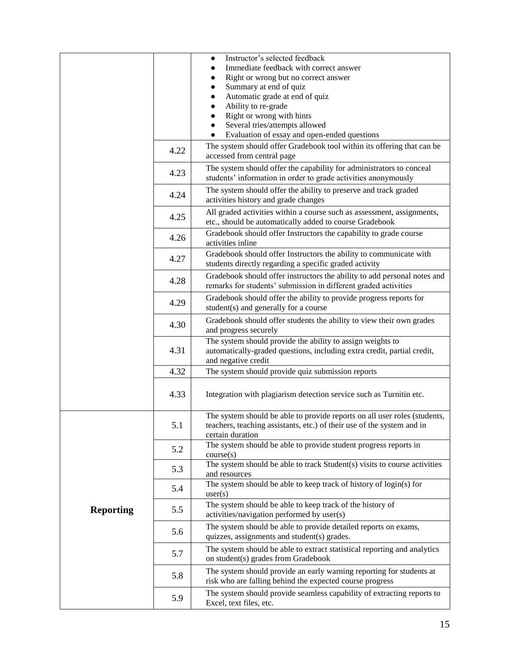|                  |      | Instructor's selected feedback                                                                                                   |
|------------------|------|----------------------------------------------------------------------------------------------------------------------------------|
|                  |      | Immediate feedback with correct answer                                                                                           |
|                  |      | Right or wrong but no correct answer                                                                                             |
|                  |      | Summary at end of quiz<br>Automatic grade at end of quiz                                                                         |
|                  |      | Ability to re-grade                                                                                                              |
|                  |      | Right or wrong with hints                                                                                                        |
|                  |      | Several tries/attempts allowed                                                                                                   |
|                  |      | Evaluation of essay and open-ended questions                                                                                     |
|                  |      | The system should offer Gradebook tool within its offering that can be                                                           |
|                  | 4.22 | accessed from central page                                                                                                       |
|                  |      | The system should offer the capability for administrators to conceal                                                             |
|                  | 4.23 | students' information in order to grade activities anonymously                                                                   |
|                  |      | The system should offer the ability to preserve and track graded                                                                 |
|                  | 4.24 | activities history and grade changes                                                                                             |
|                  |      | All graded activities within a course such as assessment, assignments,                                                           |
|                  | 4.25 | etc., should be automatically added to course Gradebook                                                                          |
|                  | 4.26 | Gradebook should offer Instructors the capability to grade course                                                                |
|                  |      | activities inline                                                                                                                |
|                  | 4.27 | Gradebook should offer Instructors the ability to communicate with                                                               |
|                  |      | students directly regarding a specific graded activity                                                                           |
|                  | 4.28 | Gradebook should offer instructors the ability to add personal notes and                                                         |
|                  |      | remarks for students' submission in different graded activities                                                                  |
|                  | 4.29 | Gradebook should offer the ability to provide progress reports for                                                               |
|                  |      | student(s) and generally for a course                                                                                            |
|                  | 4.30 | Gradebook should offer students the ability to view their own grades                                                             |
|                  |      | and progress securely                                                                                                            |
|                  |      | The system should provide the ability to assign weights to                                                                       |
|                  | 4.31 | automatically-graded questions, including extra credit, partial credit,                                                          |
|                  |      | and negative credit                                                                                                              |
|                  | 4.32 | The system should provide quiz submission reports                                                                                |
|                  |      |                                                                                                                                  |
|                  | 4.33 | Integration with plagiarism detection service such as Turnitin etc.                                                              |
|                  |      | The system should be able to provide reports on all user roles (students,                                                        |
|                  | 5.1  | teachers, teaching assistants, etc.) of their use of the system and in                                                           |
|                  |      | certain duration                                                                                                                 |
|                  | 5.2  | The system should be able to provide student progress reports in                                                                 |
|                  |      | course(s)                                                                                                                        |
|                  | 5.3  | The system should be able to track Student(s) visits to course activities                                                        |
|                  |      | and resources                                                                                                                    |
|                  | 5.4  | The system should be able to keep track of history of $login(s)$ for                                                             |
|                  |      | user(s)                                                                                                                          |
| <b>Reporting</b> | 5.5  | The system should be able to keep track of the history of<br>activities/navigation performed by user(s)                          |
|                  |      |                                                                                                                                  |
|                  | 5.6  | The system should be able to provide detailed reports on exams,<br>quizzes, assignments and student(s) grades.                   |
|                  | 5.7  |                                                                                                                                  |
|                  |      | The system should be able to extract statistical reporting and analytics<br>on student(s) grades from Gradebook                  |
|                  | 5.8  |                                                                                                                                  |
|                  |      | The system should provide an early warning reporting for students at<br>risk who are falling behind the expected course progress |
|                  |      |                                                                                                                                  |
|                  | 5.9  | The system should provide seamless capability of extracting reports to<br>Excel, text files, etc.                                |
|                  |      |                                                                                                                                  |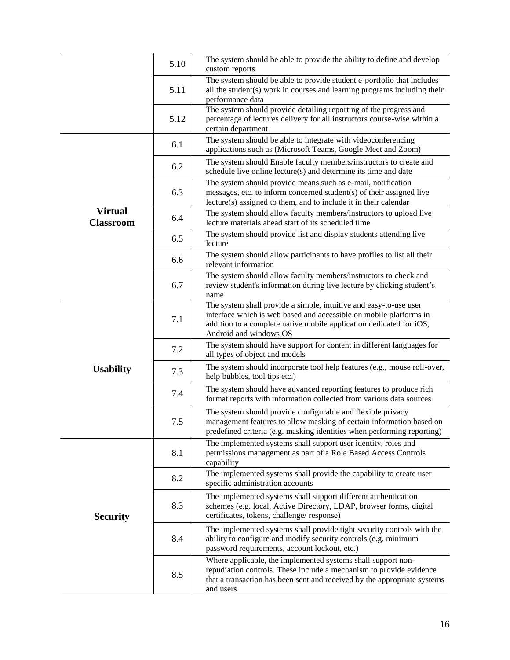|                                    | 5.10 | The system should be able to provide the ability to define and develop<br>custom reports                                                                                                                                                 |
|------------------------------------|------|------------------------------------------------------------------------------------------------------------------------------------------------------------------------------------------------------------------------------------------|
|                                    | 5.11 | The system should be able to provide student e-portfolio that includes<br>all the student(s) work in courses and learning programs including their<br>performance data                                                                   |
|                                    | 5.12 | The system should provide detailing reporting of the progress and<br>percentage of lectures delivery for all instructors course-wise within a<br>certain department                                                                      |
|                                    | 6.1  | The system should be able to integrate with videoconferencing<br>applications such as (Microsoft Teams, Google Meet and Zoom)                                                                                                            |
|                                    | 6.2  | The system should Enable faculty members/instructors to create and<br>schedule live online lecture(s) and determine its time and date                                                                                                    |
|                                    | 6.3  | The system should provide means such as e-mail, notification<br>messages, etc. to inform concerned student(s) of their assigned live<br>lecture(s) assigned to them, and to include it in their calendar                                 |
| <b>Virtual</b><br><b>Classroom</b> | 6.4  | The system should allow faculty members/instructors to upload live<br>lecture materials ahead start of its scheduled time                                                                                                                |
|                                    | 6.5  | The system should provide list and display students attending live<br>lecture                                                                                                                                                            |
|                                    | 6.6  | The system should allow participants to have profiles to list all their<br>relevant information                                                                                                                                          |
|                                    | 6.7  | The system should allow faculty members/instructors to check and<br>review student's information during live lecture by clicking student's<br>name                                                                                       |
|                                    | 7.1  | The system shall provide a simple, intuitive and easy-to-use user<br>interface which is web based and accessible on mobile platforms in<br>addition to a complete native mobile application dedicated for iOS,<br>Android and windows OS |
|                                    | 7.2  | The system should have support for content in different languages for<br>all types of object and models                                                                                                                                  |
| <b>Usability</b>                   | 7.3  | The system should incorporate tool help features (e.g., mouse roll-over,<br>help bubbles, tool tips etc.)                                                                                                                                |
|                                    | 7.4  | The system should have advanced reporting features to produce rich<br>format reports with information collected from various data sources                                                                                                |
|                                    | 7.5  | The system should provide configurable and flexible privacy<br>management features to allow masking of certain information based on<br>predefined criteria (e.g. masking identities when performing reporting)                           |
|                                    | 8.1  | The implemented systems shall support user identity, roles and<br>permissions management as part of a Role Based Access Controls<br>capability                                                                                           |
|                                    | 8.2  | The implemented systems shall provide the capability to create user<br>specific administration accounts                                                                                                                                  |
| <b>Security</b>                    | 8.3  | The implemented systems shall support different authentication<br>schemes (e.g. local, Active Directory, LDAP, browser forms, digital<br>certificates, tokens, challenge/response)                                                       |
|                                    | 8.4  | The implemented systems shall provide tight security controls with the<br>ability to configure and modify security controls (e.g. minimum<br>password requirements, account lockout, etc.)                                               |
|                                    | 8.5  | Where applicable, the implemented systems shall support non-<br>repudiation controls. These include a mechanism to provide evidence<br>that a transaction has been sent and received by the appropriate systems<br>and users             |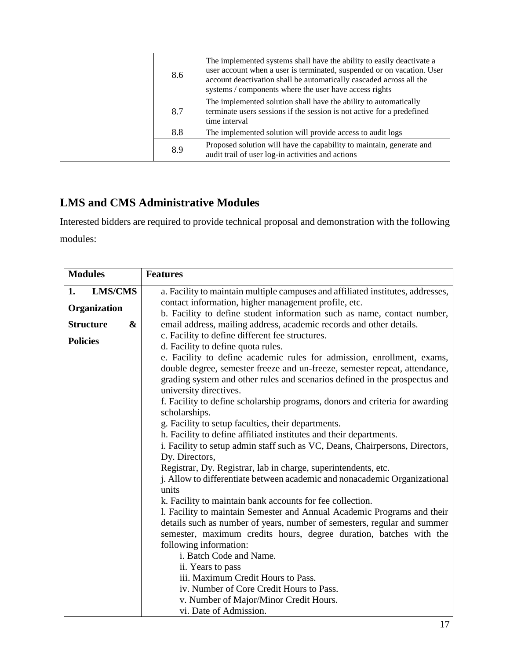|  | 8.6 | The implemented systems shall have the ability to easily deactivate a<br>user account when a user is terminated, suspended or on vacation. User<br>account deactivation shall be automatically cascaded across all the<br>systems / components where the user have access rights |
|--|-----|----------------------------------------------------------------------------------------------------------------------------------------------------------------------------------------------------------------------------------------------------------------------------------|
|  | 8.7 | The implemented solution shall have the ability to automatically<br>terminate users sessions if the session is not active for a predefined<br>time interval                                                                                                                      |
|  | 8.8 | The implemented solution will provide access to audit logs                                                                                                                                                                                                                       |
|  | 8.9 | Proposed solution will have the capability to maintain, generate and<br>audit trail of user log-in activities and actions                                                                                                                                                        |

# **LMS and CMS Administrative Modules**

Interested bidders are required to provide technical proposal and demonstration with the following modules:

| <b>Modules</b>        | <b>Features</b>                                                                                                          |
|-----------------------|--------------------------------------------------------------------------------------------------------------------------|
| <b>LMS/CMS</b><br>1.  | a. Facility to maintain multiple campuses and affiliated institutes, addresses,                                          |
| Organization          | contact information, higher management profile, etc.                                                                     |
|                       | b. Facility to define student information such as name, contact number,                                                  |
| <b>Structure</b><br>& | email address, mailing address, academic records and other details.                                                      |
| <b>Policies</b>       | c. Facility to define different fee structures.                                                                          |
|                       | d. Facility to define quota rules.                                                                                       |
|                       | e. Facility to define academic rules for admission, enrollment, exams,                                                   |
|                       | double degree, semester freeze and un-freeze, semester repeat, attendance,                                               |
|                       | grading system and other rules and scenarios defined in the prospectus and                                               |
|                       | university directives.                                                                                                   |
|                       | f. Facility to define scholarship programs, donors and criteria for awarding                                             |
|                       | scholarships.                                                                                                            |
|                       | g. Facility to setup faculties, their departments.<br>h. Facility to define affiliated institutes and their departments. |
|                       | i. Facility to setup admin staff such as VC, Deans, Chairpersons, Directors,                                             |
|                       | Dy. Directors,                                                                                                           |
|                       | Registrar, Dy. Registrar, lab in charge, superintendents, etc.                                                           |
|                       | j. Allow to differentiate between academic and nonacademic Organizational                                                |
|                       | units                                                                                                                    |
|                       | k. Facility to maintain bank accounts for fee collection.                                                                |
|                       | 1. Facility to maintain Semester and Annual Academic Programs and their                                                  |
|                       | details such as number of years, number of semesters, regular and summer                                                 |
|                       | semester, maximum credits hours, degree duration, batches with the                                                       |
|                       | following information:                                                                                                   |
|                       | i. Batch Code and Name.                                                                                                  |
|                       | ii. Years to pass                                                                                                        |
|                       | iii. Maximum Credit Hours to Pass.                                                                                       |
|                       | iv. Number of Core Credit Hours to Pass.                                                                                 |
|                       | v. Number of Major/Minor Credit Hours.                                                                                   |
|                       | vi. Date of Admission.                                                                                                   |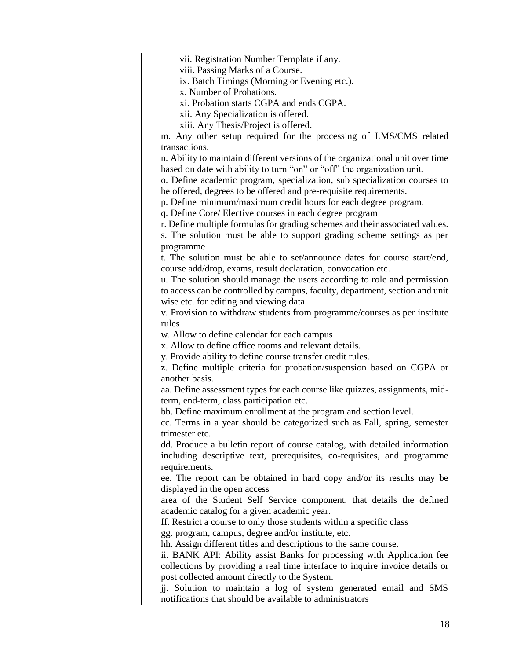| vii. Registration Number Template if any.                                                                                                                                                                                              |
|----------------------------------------------------------------------------------------------------------------------------------------------------------------------------------------------------------------------------------------|
| viii. Passing Marks of a Course.                                                                                                                                                                                                       |
| ix. Batch Timings (Morning or Evening etc.).                                                                                                                                                                                           |
| x. Number of Probations.                                                                                                                                                                                                               |
| xi. Probation starts CGPA and ends CGPA.                                                                                                                                                                                               |
| xii. Any Specialization is offered.                                                                                                                                                                                                    |
| xiii. Any Thesis/Project is offered.                                                                                                                                                                                                   |
| m. Any other setup required for the processing of LMS/CMS related                                                                                                                                                                      |
| transactions.                                                                                                                                                                                                                          |
| n. Ability to maintain different versions of the organizational unit over time<br>based on date with ability to turn "on" or "off" the organization unit.<br>o. Define academic program, specialization, sub specialization courses to |
| be offered, degrees to be offered and pre-requisite requirements.                                                                                                                                                                      |
| p. Define minimum/maximum credit hours for each degree program.                                                                                                                                                                        |
| q. Define Core/ Elective courses in each degree program                                                                                                                                                                                |
| r. Define multiple formulas for grading schemes and their associated values.                                                                                                                                                           |
| s. The solution must be able to support grading scheme settings as per                                                                                                                                                                 |
| programme                                                                                                                                                                                                                              |
| t. The solution must be able to set/announce dates for course start/end,                                                                                                                                                               |
| course add/drop, exams, result declaration, convocation etc.                                                                                                                                                                           |
| u. The solution should manage the users according to role and permission                                                                                                                                                               |
| to access can be controlled by campus, faculty, department, section and unit                                                                                                                                                           |
| wise etc. for editing and viewing data.                                                                                                                                                                                                |
| v. Provision to withdraw students from programme/courses as per institute                                                                                                                                                              |
| rules                                                                                                                                                                                                                                  |
| w. Allow to define calendar for each campus                                                                                                                                                                                            |
| x. Allow to define office rooms and relevant details.                                                                                                                                                                                  |
| y. Provide ability to define course transfer credit rules.                                                                                                                                                                             |
| z. Define multiple criteria for probation/suspension based on CGPA or                                                                                                                                                                  |
| another basis.                                                                                                                                                                                                                         |
| aa. Define assessment types for each course like quizzes, assignments, mid-<br>term, end-term, class participation etc.                                                                                                                |
| bb. Define maximum enrollment at the program and section level.                                                                                                                                                                        |
| cc. Terms in a year should be categorized such as Fall, spring, semester                                                                                                                                                               |
| trimester etc.                                                                                                                                                                                                                         |
| dd. Produce a bulletin report of course catalog, with detailed information                                                                                                                                                             |
| including descriptive text, prerequisites, co-requisites, and programme                                                                                                                                                                |
| requirements.                                                                                                                                                                                                                          |
| ee. The report can be obtained in hard copy and/or its results may be                                                                                                                                                                  |
| displayed in the open access                                                                                                                                                                                                           |
| area of the Student Self Service component. that details the defined                                                                                                                                                                   |
| academic catalog for a given academic year.                                                                                                                                                                                            |
| ff. Restrict a course to only those students within a specific class                                                                                                                                                                   |
| gg. program, campus, degree and/or institute, etc.                                                                                                                                                                                     |
| hh. Assign different titles and descriptions to the same course.                                                                                                                                                                       |
|                                                                                                                                                                                                                                        |
| ii. BANK API: Ability assist Banks for processing with Application fee                                                                                                                                                                 |
| collections by providing a real time interface to inquire invoice details or                                                                                                                                                           |
| post collected amount directly to the System.                                                                                                                                                                                          |
| jj. Solution to maintain a log of system generated email and SMS<br>notifications that should be available to administrators                                                                                                           |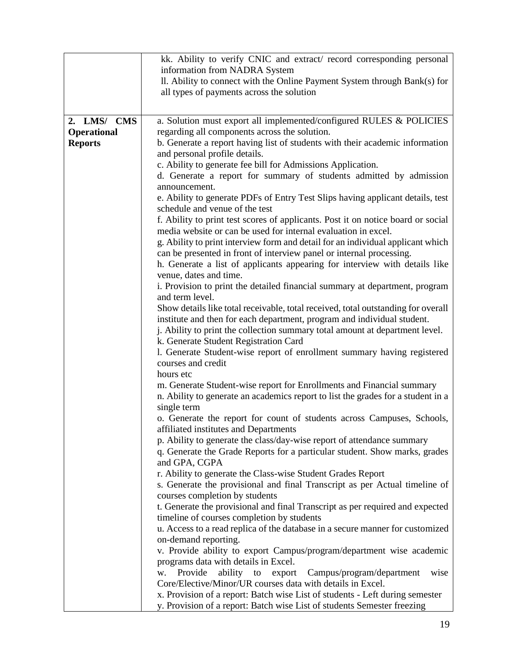|                                                     | kk. Ability to verify CNIC and extract/ record corresponding personal<br>information from NADRA System<br>II. Ability to connect with the Online Payment System through Bank(s) for<br>all types of payments across the solution                                                                                                                                                                                                                                                                                                                                                                                                                                                                                                                                                                                                                                                                                                                                                                                                                                                                                                                                                                                                                                                                                                                                                                                                                                                                                                                                                                                                                                                                                                                                                                                                                                                                                                                                                                                                                                                                                                                                                                                                        |
|-----------------------------------------------------|-----------------------------------------------------------------------------------------------------------------------------------------------------------------------------------------------------------------------------------------------------------------------------------------------------------------------------------------------------------------------------------------------------------------------------------------------------------------------------------------------------------------------------------------------------------------------------------------------------------------------------------------------------------------------------------------------------------------------------------------------------------------------------------------------------------------------------------------------------------------------------------------------------------------------------------------------------------------------------------------------------------------------------------------------------------------------------------------------------------------------------------------------------------------------------------------------------------------------------------------------------------------------------------------------------------------------------------------------------------------------------------------------------------------------------------------------------------------------------------------------------------------------------------------------------------------------------------------------------------------------------------------------------------------------------------------------------------------------------------------------------------------------------------------------------------------------------------------------------------------------------------------------------------------------------------------------------------------------------------------------------------------------------------------------------------------------------------------------------------------------------------------------------------------------------------------------------------------------------------------|
| 2. LMS/ CMS<br><b>Operational</b><br><b>Reports</b> | a. Solution must export all implemented/configured RULES & POLICIES<br>regarding all components across the solution.<br>b. Generate a report having list of students with their academic information<br>and personal profile details.<br>c. Ability to generate fee bill for Admissions Application.<br>d. Generate a report for summary of students admitted by admission<br>announcement.<br>e. Ability to generate PDFs of Entry Test Slips having applicant details, test<br>schedule and venue of the test<br>f. Ability to print test scores of applicants. Post it on notice board or social<br>media website or can be used for internal evaluation in excel.<br>g. Ability to print interview form and detail for an individual applicant which<br>can be presented in front of interview panel or internal processing.<br>h. Generate a list of applicants appearing for interview with details like<br>venue, dates and time.<br>i. Provision to print the detailed financial summary at department, program<br>and term level.<br>Show details like total receivable, total received, total outstanding for overall<br>institute and then for each department, program and individual student.<br>j. Ability to print the collection summary total amount at department level.<br>k. Generate Student Registration Card<br>1. Generate Student-wise report of enrollment summary having registered<br>courses and credit<br>hours etc<br>m. Generate Student-wise report for Enrollments and Financial summary<br>n. Ability to generate an academics report to list the grades for a student in a<br>single term<br>o. Generate the report for count of students across Campuses, Schools,<br>affiliated institutes and Departments<br>p. Ability to generate the class/day-wise report of attendance summary<br>q. Generate the Grade Reports for a particular student. Show marks, grades<br>and GPA, CGPA<br>r. Ability to generate the Class-wise Student Grades Report<br>s. Generate the provisional and final Transcript as per Actual timeline of<br>courses completion by students<br>t. Generate the provisional and final Transcript as per required and expected<br>timeline of courses completion by students |
|                                                     | u. Access to a read replica of the database in a secure manner for customized<br>on-demand reporting.<br>v. Provide ability to export Campus/program/department wise academic<br>programs data with details in Excel.<br>Provide<br>ability<br>to<br>export<br>Campus/program/department<br>wise<br>W.<br>Core/Elective/Minor/UR courses data with details in Excel.<br>x. Provision of a report: Batch wise List of students - Left during semester<br>y. Provision of a report: Batch wise List of students Semester freezing                                                                                                                                                                                                                                                                                                                                                                                                                                                                                                                                                                                                                                                                                                                                                                                                                                                                                                                                                                                                                                                                                                                                                                                                                                                                                                                                                                                                                                                                                                                                                                                                                                                                                                         |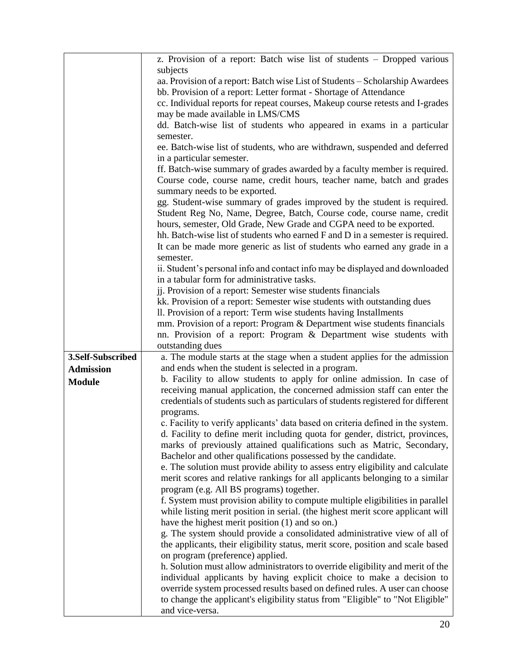|                   | z. Provision of a report: Batch wise list of students – Dropped various          |  |  |
|-------------------|----------------------------------------------------------------------------------|--|--|
|                   | subjects                                                                         |  |  |
|                   | aa. Provision of a report: Batch wise List of Students – Scholarship Awardees    |  |  |
|                   | bb. Provision of a report: Letter format - Shortage of Attendance                |  |  |
|                   | cc. Individual reports for repeat courses, Makeup course retests and I-grades    |  |  |
|                   | may be made available in LMS/CMS                                                 |  |  |
|                   | dd. Batch-wise list of students who appeared in exams in a particular            |  |  |
|                   | semester.                                                                        |  |  |
|                   | ee. Batch-wise list of students, who are withdrawn, suspended and deferred       |  |  |
|                   | in a particular semester.                                                        |  |  |
|                   | ff. Batch-wise summary of grades awarded by a faculty member is required.        |  |  |
|                   | Course code, course name, credit hours, teacher name, batch and grades           |  |  |
|                   | summary needs to be exported.                                                    |  |  |
|                   | gg. Student-wise summary of grades improved by the student is required.          |  |  |
|                   | Student Reg No, Name, Degree, Batch, Course code, course name, credit            |  |  |
|                   | hours, semester, Old Grade, New Grade and CGPA need to be exported.              |  |  |
|                   | hh. Batch-wise list of students who earned F and D in a semester is required.    |  |  |
|                   | It can be made more generic as list of students who earned any grade in a        |  |  |
|                   | semester.                                                                        |  |  |
|                   | ii. Student's personal info and contact info may be displayed and downloaded     |  |  |
|                   | in a tabular form for administrative tasks.                                      |  |  |
|                   | jj. Provision of a report: Semester wise students financials                     |  |  |
|                   | kk. Provision of a report: Semester wise students with outstanding dues          |  |  |
|                   | Il. Provision of a report: Term wise students having Installments                |  |  |
|                   | mm. Provision of a report: Program & Department wise students financials         |  |  |
|                   | nn. Provision of a report: Program & Department wise students with               |  |  |
|                   | outstanding dues                                                                 |  |  |
| 3.Self-Subscribed | a. The module starts at the stage when a student applies for the admission       |  |  |
| <b>Admission</b>  | and ends when the student is selected in a program.                              |  |  |
| <b>Module</b>     | b. Facility to allow students to apply for online admission. In case of          |  |  |
|                   | receiving manual application, the concerned admission staff can enter the        |  |  |
|                   | credentials of students such as particulars of students registered for different |  |  |
|                   | programs.                                                                        |  |  |
|                   | c. Facility to verify applicants' data based on criteria defined in the system.  |  |  |
|                   | d. Facility to define merit including quota for gender, district, provinces,     |  |  |
|                   | marks of previously attained qualifications such as Matric, Secondary,           |  |  |
|                   | Bachelor and other qualifications possessed by the candidate.                    |  |  |
|                   | e. The solution must provide ability to assess entry eligibility and calculate   |  |  |
|                   | merit scores and relative rankings for all applicants belonging to a similar     |  |  |
|                   | program (e.g. All BS programs) together.                                         |  |  |
|                   | f. System must provision ability to compute multiple eligibilities in parallel   |  |  |
|                   | while listing merit position in serial. (the highest merit score applicant will  |  |  |
|                   | have the highest merit position (1) and so on.)                                  |  |  |
|                   | g. The system should provide a consolidated administrative view of all of        |  |  |
|                   | the applicants, their eligibility status, merit score, position and scale based  |  |  |
|                   | on program (preference) applied.                                                 |  |  |
|                   | h. Solution must allow administrators to override eligibility and merit of the   |  |  |
|                   | individual applicants by having explicit choice to make a decision to            |  |  |
|                   | override system processed results based on defined rules. A user can choose      |  |  |
|                   | to change the applicant's eligibility status from "Eligible" to "Not Eligible"   |  |  |
|                   | and vice-versa.                                                                  |  |  |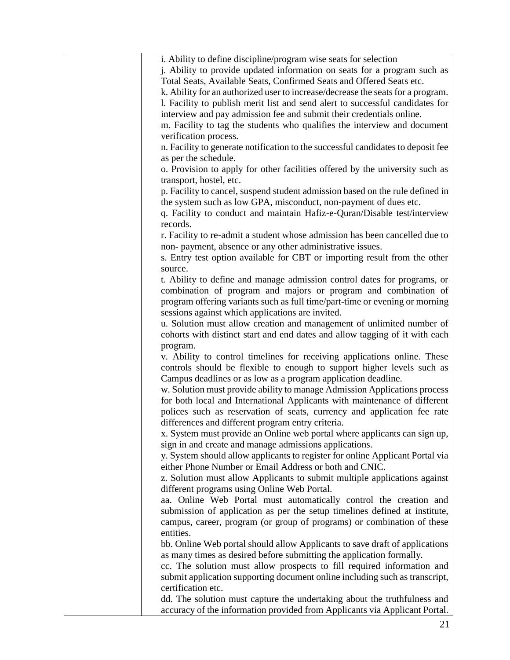| i. Ability to define discipline/program wise seats for selection<br>j. Ability to provide updated information on seats for a program such as<br>Total Seats, Available Seats, Confirmed Seats and Offered Seats etc.<br>k. Ability for an authorized user to increase/decrease the seats for a program.<br>1. Facility to publish merit list and send alert to successful candidates for |
|------------------------------------------------------------------------------------------------------------------------------------------------------------------------------------------------------------------------------------------------------------------------------------------------------------------------------------------------------------------------------------------|
| interview and pay admission fee and submit their credentials online.<br>m. Facility to tag the students who qualifies the interview and document<br>verification process.<br>n. Facility to generate notification to the successful candidates to deposit fee                                                                                                                            |
| as per the schedule.<br>o. Provision to apply for other facilities offered by the university such as                                                                                                                                                                                                                                                                                     |
| transport, hostel, etc.<br>p. Facility to cancel, suspend student admission based on the rule defined in<br>the system such as low GPA, misconduct, non-payment of dues etc.<br>q. Facility to conduct and maintain Hafiz-e-Quran/Disable test/interview                                                                                                                                 |
| records.<br>r. Facility to re-admit a student whose admission has been cancelled due to<br>non-payment, absence or any other administrative issues.                                                                                                                                                                                                                                      |
| s. Entry test option available for CBT or importing result from the other<br>source.                                                                                                                                                                                                                                                                                                     |
| t. Ability to define and manage admission control dates for programs, or<br>combination of program and majors or program and combination of<br>program offering variants such as full time/part-time or evening or morning<br>sessions against which applications are invited.                                                                                                           |
| u. Solution must allow creation and management of unlimited number of<br>cohorts with distinct start and end dates and allow tagging of it with each<br>program.                                                                                                                                                                                                                         |
| v. Ability to control timelines for receiving applications online. These<br>controls should be flexible to enough to support higher levels such as<br>Campus deadlines or as low as a program application deadline.                                                                                                                                                                      |
| w. Solution must provide ability to manage Admission Applications process<br>for both local and International Applicants with maintenance of different<br>polices such as reservation of seats, currency and application fee rate<br>differences and different program entry criteria.                                                                                                   |
| x. System must provide an Online web portal where applicants can sign up,<br>sign in and create and manage admissions applications.<br>y. System should allow applicants to register for online Applicant Portal via                                                                                                                                                                     |
| either Phone Number or Email Address or both and CNIC.<br>z. Solution must allow Applicants to submit multiple applications against<br>different programs using Online Web Portal.                                                                                                                                                                                                       |
| aa. Online Web Portal must automatically control the creation and<br>submission of application as per the setup timelines defined at institute,<br>campus, career, program (or group of programs) or combination of these<br>entities.                                                                                                                                                   |
| bb. Online Web portal should allow Applicants to save draft of applications<br>as many times as desired before submitting the application formally.<br>cc. The solution must allow prospects to fill required information and<br>submit application supporting document online including such as transcript,                                                                             |
| certification etc.<br>dd. The solution must capture the undertaking about the truthfulness and<br>accuracy of the information provided from Applicants via Applicant Portal.                                                                                                                                                                                                             |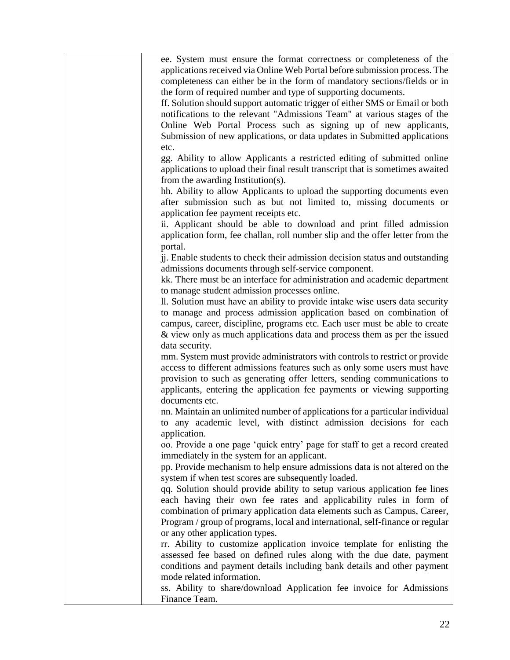| ee. System must ensure the format correctness or completeness of the           |
|--------------------------------------------------------------------------------|
| applications received via Online Web Portal before submission process. The     |
| completeness can either be in the form of mandatory sections/fields or in      |
| the form of required number and type of supporting documents.                  |
| ff. Solution should support automatic trigger of either SMS or Email or both   |
| notifications to the relevant "Admissions Team" at various stages of the       |
| Online Web Portal Process such as signing up of new applicants,                |
| Submission of new applications, or data updates in Submitted applications      |
| etc.                                                                           |
| gg. Ability to allow Applicants a restricted editing of submitted online       |
| applications to upload their final result transcript that is sometimes awaited |
| from the awarding Institution(s).                                              |
| hh. Ability to allow Applicants to upload the supporting documents even        |
| after submission such as but not limited to, missing documents or              |
| application fee payment receipts etc.                                          |
| ii. Applicant should be able to download and print filled admission            |
| application form, fee challan, roll number slip and the offer letter from the  |
| portal.                                                                        |
| jj. Enable students to check their admission decision status and outstanding   |
| admissions documents through self-service component.                           |
| kk. There must be an interface for administration and academic department      |
| to manage student admission processes online.                                  |
| Il. Solution must have an ability to provide intake wise users data security   |
| to manage and process admission application based on combination of            |
| campus, career, discipline, programs etc. Each user must be able to create     |
| & view only as much applications data and process them as per the issued       |
| data security.                                                                 |
| mm. System must provide administrators with controls to restrict or provide    |
| access to different admissions features such as only some users must have      |
| provision to such as generating offer letters, sending communications to       |
| applicants, entering the application fee payments or viewing supporting        |
| documents etc.                                                                 |
| nn. Maintain an unlimited number of applications for a particular individual   |
| to any academic level, with distinct admission decisions for each              |
| application.                                                                   |
| oo. Provide a one page 'quick entry' page for staff to get a record created    |
| immediately in the system for an applicant.                                    |
| pp. Provide mechanism to help ensure admissions data is not altered on the     |
| system if when test scores are subsequently loaded.                            |
| qq. Solution should provide ability to setup various application fee lines     |
| each having their own fee rates and applicability rules in form of             |
| combination of primary application data elements such as Campus, Career,       |
| Program / group of programs, local and international, self-finance or regular  |
| or any other application types.                                                |
| rr. Ability to customize application invoice template for enlisting the        |
| assessed fee based on defined rules along with the due date, payment           |
| conditions and payment details including bank details and other payment        |
| mode related information.                                                      |
| ss. Ability to share/download Application fee invoice for Admissions           |
| Finance Team.                                                                  |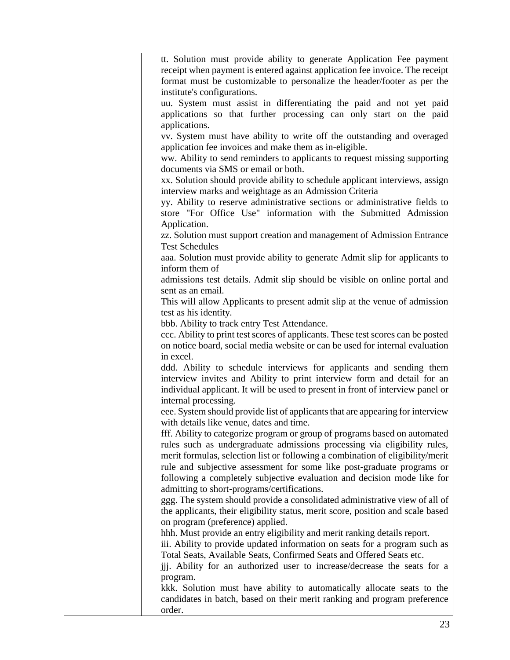| tt. Solution must provide ability to generate Application Fee payment                                                            |
|----------------------------------------------------------------------------------------------------------------------------------|
| receipt when payment is entered against application fee invoice. The receipt                                                     |
| format must be customizable to personalize the header/footer as per the                                                          |
| institute's configurations.                                                                                                      |
| uu. System must assist in differentiating the paid and not yet paid                                                              |
| applications so that further processing can only start on the paid                                                               |
| applications.                                                                                                                    |
| vv. System must have ability to write off the outstanding and overaged                                                           |
| application fee invoices and make them as in-eligible.                                                                           |
| ww. Ability to send reminders to applicants to request missing supporting                                                        |
| documents via SMS or email or both.                                                                                              |
| xx. Solution should provide ability to schedule applicant interviews, assign                                                     |
| interview marks and weightage as an Admission Criteria                                                                           |
| yy. Ability to reserve administrative sections or administrative fields to                                                       |
| store "For Office Use" information with the Submitted Admission                                                                  |
| Application.                                                                                                                     |
| zz. Solution must support creation and management of Admission Entrance                                                          |
| <b>Test Schedules</b>                                                                                                            |
| aaa. Solution must provide ability to generate Admit slip for applicants to                                                      |
| inform them of                                                                                                                   |
| admissions test details. Admit slip should be visible on online portal and                                                       |
| sent as an email.                                                                                                                |
| This will allow Applicants to present admit slip at the venue of admission                                                       |
| test as his identity.                                                                                                            |
| bbb. Ability to track entry Test Attendance.<br>ccc. Ability to print test scores of applicants. These test scores can be posted |
| on notice board, social media website or can be used for internal evaluation                                                     |
| in excel.                                                                                                                        |
| ddd. Ability to schedule interviews for applicants and sending them                                                              |
| interview invites and Ability to print interview form and detail for an                                                          |
| individual applicant. It will be used to present in front of interview panel or                                                  |
| internal processing.                                                                                                             |
| eee. System should provide list of applicants that are appearing for interview                                                   |
| with details like venue, dates and time.                                                                                         |
| fff. Ability to categorize program or group of programs based on automated                                                       |
| rules such as undergraduate admissions processing via eligibility rules,                                                         |
| merit formulas, selection list or following a combination of eligibility/merit                                                   |
| rule and subjective assessment for some like post-graduate programs or                                                           |
| following a completely subjective evaluation and decision mode like for                                                          |
| admitting to short-programs/certifications.                                                                                      |
| ggg. The system should provide a consolidated administrative view of all of                                                      |
| the applicants, their eligibility status, merit score, position and scale based                                                  |
| on program (preference) applied.                                                                                                 |
| hhh. Must provide an entry eligibility and merit ranking details report.                                                         |
| iii. Ability to provide updated information on seats for a program such as                                                       |
| Total Seats, Available Seats, Confirmed Seats and Offered Seats etc.                                                             |
| ijj. Ability for an authorized user to increase/decrease the seats for a                                                         |
| program.                                                                                                                         |
| kkk. Solution must have ability to automatically allocate seats to the                                                           |
| candidates in batch, based on their merit ranking and program preference<br>order.                                               |
|                                                                                                                                  |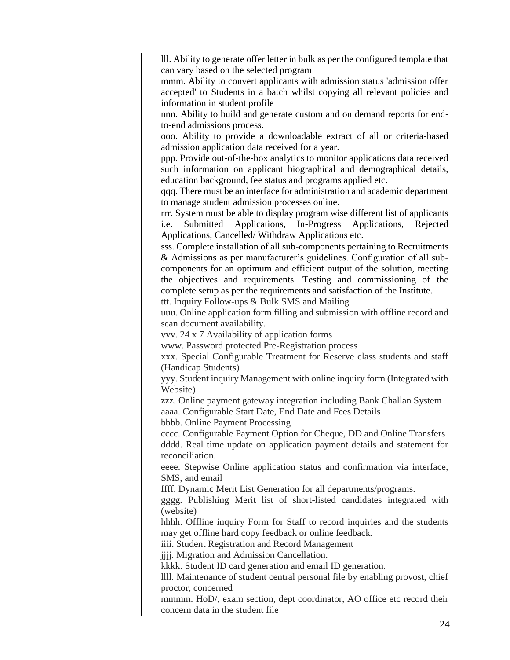| III. Ability to generate offer letter in bulk as per the configured template that                                             |
|-------------------------------------------------------------------------------------------------------------------------------|
| can vary based on the selected program                                                                                        |
| mmm. Ability to convert applicants with admission status 'admission offer                                                     |
| accepted' to Students in a batch whilst copying all relevant policies and                                                     |
| information in student profile                                                                                                |
| nnn. Ability to build and generate custom and on demand reports for end-                                                      |
| to-end admissions process.                                                                                                    |
| ooo. Ability to provide a downloadable extract of all or criteria-based                                                       |
| admission application data received for a year.                                                                               |
| ppp. Provide out-of-the-box analytics to monitor applications data received                                                   |
| such information on applicant biographical and demographical details,                                                         |
| education background, fee status and programs applied etc.                                                                    |
| qqq. There must be an interface for administration and academic department                                                    |
| to manage student admission processes online.                                                                                 |
| rrr. System must be able to display program wise different list of applicants                                                 |
| Submitted<br>Applications, In-Progress<br>Applications,<br>Rejected<br>i.e.                                                   |
| Applications, Cancelled/Withdraw Applications etc.                                                                            |
| sss. Complete installation of all sub-components pertaining to Recruitments                                                   |
| & Admissions as per manufacturer's guidelines. Configuration of all sub-                                                      |
| components for an optimum and efficient output of the solution, meeting                                                       |
| the objectives and requirements. Testing and commissioning of the                                                             |
| complete setup as per the requirements and satisfaction of the Institute.                                                     |
|                                                                                                                               |
| ttt. Inquiry Follow-ups & Bulk SMS and Mailing<br>uuu. Online application form filling and submission with offline record and |
|                                                                                                                               |
| scan document availability.                                                                                                   |
| vvv. 24 x 7 Availability of application forms                                                                                 |
| www. Password protected Pre-Registration process                                                                              |
| xxx. Special Configurable Treatment for Reserve class students and staff                                                      |
| (Handicap Students)                                                                                                           |
| yyy. Student inquiry Management with online inquiry form (Integrated with<br>Website)                                         |
|                                                                                                                               |
| zzz. Online payment gateway integration including Bank Challan System                                                         |
| aaaa. Configurable Start Date, End Date and Fees Details                                                                      |
| bbbb. Online Payment Processing                                                                                               |
| cccc. Configurable Payment Option for Cheque, DD and Online Transfers                                                         |
| dddd. Real time update on application payment details and statement for                                                       |
| reconciliation.                                                                                                               |
| eeee. Stepwise Online application status and confirmation via interface,                                                      |
| SMS, and email                                                                                                                |
| ffff. Dynamic Merit List Generation for all departments/programs.                                                             |
| gggg. Publishing Merit list of short-listed candidates integrated with                                                        |
| (website)                                                                                                                     |
| hhhh. Offline inquiry Form for Staff to record inquiries and the students                                                     |
| may get offline hard copy feedback or online feedback.                                                                        |
| iiii. Student Registration and Record Management                                                                              |
| jijj. Migration and Admission Cancellation.                                                                                   |
| kkkk. Student ID card generation and email ID generation.                                                                     |
| IIII. Maintenance of student central personal file by enabling provost, chief                                                 |
| proctor, concerned                                                                                                            |
| mmmm. HoD/, exam section, dept coordinator, AO office etc record their                                                        |
| concern data in the student file                                                                                              |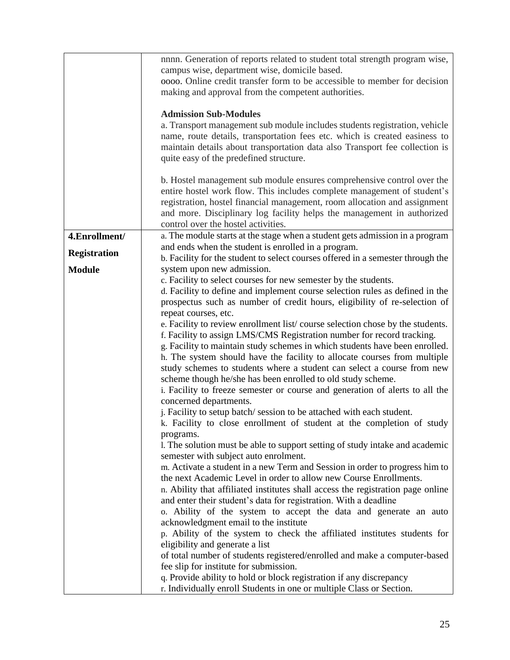|                     | nnnn. Generation of reports related to student total strength program wise,     |
|---------------------|---------------------------------------------------------------------------------|
|                     | campus wise, department wise, domicile based.                                   |
|                     | oooo. Online credit transfer form to be accessible to member for decision       |
|                     | making and approval from the competent authorities.                             |
|                     |                                                                                 |
|                     | <b>Admission Sub-Modules</b>                                                    |
|                     | a. Transport management sub module includes students registration, vehicle      |
|                     | name, route details, transportation fees etc. which is created easiness to      |
|                     | maintain details about transportation data also Transport fee collection is     |
|                     | quite easy of the predefined structure.                                         |
|                     |                                                                                 |
|                     | b. Hostel management sub module ensures comprehensive control over the          |
|                     | entire hostel work flow. This includes complete management of student's         |
|                     |                                                                                 |
|                     | registration, hostel financial management, room allocation and assignment       |
|                     | and more. Disciplinary log facility helps the management in authorized          |
|                     | control over the hostel activities.                                             |
| 4.Enrollment/       | a. The module starts at the stage when a student gets admission in a program    |
| <b>Registration</b> | and ends when the student is enrolled in a program.                             |
|                     | b. Facility for the student to select courses offered in a semester through the |
| <b>Module</b>       | system upon new admission.                                                      |
|                     | c. Facility to select courses for new semester by the students.                 |
|                     | d. Facility to define and implement course selection rules as defined in the    |
|                     | prospectus such as number of credit hours, eligibility of re-selection of       |
|                     | repeat courses, etc.                                                            |
|                     | e. Facility to review enrollment list/course selection chose by the students.   |
|                     | f. Facility to assign LMS/CMS Registration number for record tracking.          |
|                     | g. Facility to maintain study schemes in which students have been enrolled.     |
|                     | h. The system should have the facility to allocate courses from multiple        |
|                     | study schemes to students where a student can select a course from new          |
|                     | scheme though he/she has been enrolled to old study scheme.                     |
|                     | i. Facility to freeze semester or course and generation of alerts to all the    |
|                     | concerned departments.                                                          |
|                     | j. Facility to setup batch/session to be attached with each student.            |
|                     | k. Facility to close enrollment of student at the completion of study           |
|                     | programs.                                                                       |
|                     | 1. The solution must be able to support setting of study intake and academic    |
|                     | semester with subject auto enrolment.                                           |
|                     | m. Activate a student in a new Term and Session in order to progress him to     |
|                     | the next Academic Level in order to allow new Course Enrollments.               |
|                     | n. Ability that affiliated institutes shall access the registration page online |
|                     | and enter their student's data for registration. With a deadline                |
|                     | o. Ability of the system to accept the data and generate an auto                |
|                     | acknowledgment email to the institute                                           |
|                     | p. Ability of the system to check the affiliated institutes students for        |
|                     | eligibility and generate a list                                                 |
|                     | of total number of students registered/enrolled and make a computer-based       |
|                     | fee slip for institute for submission.                                          |
|                     | q. Provide ability to hold or block registration if any discrepancy             |
|                     | r. Individually enroll Students in one or multiple Class or Section.            |
|                     |                                                                                 |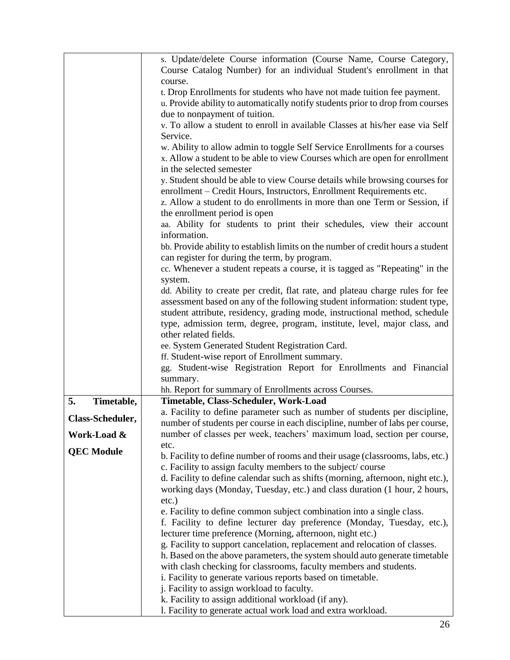|                   | s. Update/delete Course information (Course Name, Course Category,<br>Course Catalog Number) for an individual Student's enrollment in that |
|-------------------|---------------------------------------------------------------------------------------------------------------------------------------------|
|                   | course.                                                                                                                                     |
|                   | t. Drop Enrollments for students who have not made tuition fee payment.                                                                     |
|                   | u. Provide ability to automatically notify students prior to drop from courses                                                              |
|                   | due to nonpayment of tuition.                                                                                                               |
|                   | v. To allow a student to enroll in available Classes at his/her ease via Self                                                               |
|                   | Service.                                                                                                                                    |
|                   | w. Ability to allow admin to toggle Self Service Enrollments for a courses                                                                  |
|                   | x. Allow a student to be able to view Courses which are open for enrollment                                                                 |
|                   | in the selected semester                                                                                                                    |
|                   | y. Student should be able to view Course details while browsing courses for                                                                 |
|                   | enrollment – Credit Hours, Instructors, Enrollment Requirements etc.                                                                        |
|                   | z. Allow a student to do enrollments in more than one Term or Session, if                                                                   |
|                   | the enrollment period is open                                                                                                               |
|                   | aa. Ability for students to print their schedules, view their account                                                                       |
|                   | information.                                                                                                                                |
|                   | bb. Provide ability to establish limits on the number of credit hours a student                                                             |
|                   | can register for during the term, by program.                                                                                               |
|                   | cc. Whenever a student repeats a course, it is tagged as "Repeating" in the                                                                 |
|                   | system.                                                                                                                                     |
|                   | dd. Ability to create per credit, flat rate, and plateau charge rules for fee                                                               |
|                   | assessment based on any of the following student information: student type,                                                                 |
|                   | student attribute, residency, grading mode, instructional method, schedule                                                                  |
|                   | type, admission term, degree, program, institute, level, major class, and                                                                   |
|                   | other related fields.                                                                                                                       |
|                   | ee. System Generated Student Registration Card.                                                                                             |
|                   | ff. Student-wise report of Enrollment summary.                                                                                              |
|                   | gg. Student-wise Registration Report for Enrollments and Financial                                                                          |
|                   | summary.                                                                                                                                    |
|                   | hh. Report for summary of Enrollments across Courses.                                                                                       |
| 5.<br>Timetable,  | Timetable, Class-Scheduler, Work-Load                                                                                                       |
| Class-Scheduler,  | a. Facility to define parameter such as number of students per discipline,                                                                  |
|                   | number of students per course in each discipline, number of labs per course,                                                                |
| Work-Load &       | number of classes per week, teachers' maximum load, section per course,                                                                     |
| <b>QEC Module</b> | etc.                                                                                                                                        |
|                   | b. Facility to define number of rooms and their usage (classrooms, labs, etc.)                                                              |
|                   | c. Facility to assign faculty members to the subject/course                                                                                 |
|                   | d. Facility to define calendar such as shifts (morning, afternoon, night etc.),                                                             |
|                   | working days (Monday, Tuesday, etc.) and class duration (1 hour, 2 hours,                                                                   |
|                   | $etc.$ )                                                                                                                                    |
|                   | e. Facility to define common subject combination into a single class.                                                                       |
|                   | f. Facility to define lecturer day preference (Monday, Tuesday, etc.),                                                                      |
|                   | lecturer time preference (Morning, afternoon, night etc.)                                                                                   |
|                   | g. Facility to support cancelation, replacement and relocation of classes.                                                                  |
|                   | h. Based on the above parameters, the system should auto generate timetable                                                                 |
|                   | with clash checking for classrooms, faculty members and students.                                                                           |
|                   | i. Facility to generate various reports based on timetable.                                                                                 |
|                   | j. Facility to assign workload to faculty.                                                                                                  |
|                   |                                                                                                                                             |
|                   | k. Facility to assign additional workload (if any).<br>l. Facility to generate actual work load and extra workload.                         |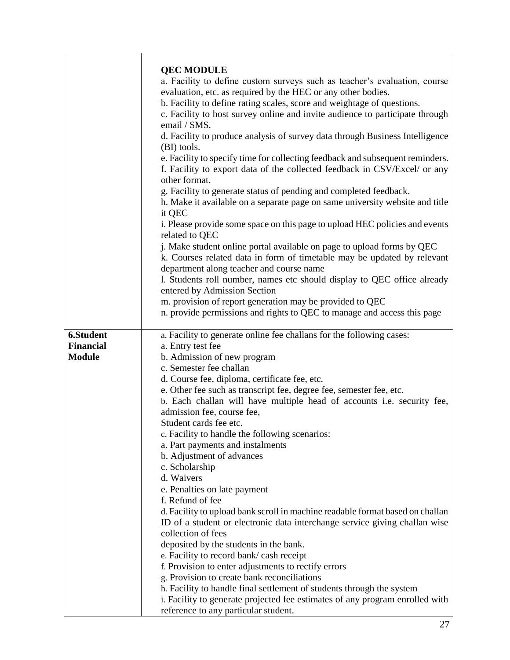|                                                | <b>QEC MODULE</b><br>a. Facility to define custom surveys such as teacher's evaluation, course<br>evaluation, etc. as required by the HEC or any other bodies.<br>b. Facility to define rating scales, score and weightage of questions.<br>c. Facility to host survey online and invite audience to participate through<br>email / SMS.<br>d. Facility to produce analysis of survey data through Business Intelligence<br>(BI) tools.<br>e. Facility to specify time for collecting feedback and subsequent reminders.<br>f. Facility to export data of the collected feedback in CSV/Excel/ or any<br>other format.<br>g. Facility to generate status of pending and completed feedback.<br>h. Make it available on a separate page on same university website and title<br>it QEC<br>i. Please provide some space on this page to upload HEC policies and events<br>related to QEC<br>j. Make student online portal available on page to upload forms by QEC<br>k. Courses related data in form of timetable may be updated by relevant<br>department along teacher and course name<br>1. Students roll number, names etc should display to QEC office already<br>entered by Admission Section<br>m. provision of report generation may be provided to QEC<br>n. provide permissions and rights to QEC to manage and access this page |
|------------------------------------------------|-------------------------------------------------------------------------------------------------------------------------------------------------------------------------------------------------------------------------------------------------------------------------------------------------------------------------------------------------------------------------------------------------------------------------------------------------------------------------------------------------------------------------------------------------------------------------------------------------------------------------------------------------------------------------------------------------------------------------------------------------------------------------------------------------------------------------------------------------------------------------------------------------------------------------------------------------------------------------------------------------------------------------------------------------------------------------------------------------------------------------------------------------------------------------------------------------------------------------------------------------------------------------------------------------------------------------------------------|
| 6.Student<br><b>Financial</b><br><b>Module</b> | a. Facility to generate online fee challans for the following cases:<br>a. Entry test fee<br>b. Admission of new program<br>c. Semester fee challan<br>d. Course fee, diploma, certificate fee, etc.<br>e. Other fee such as transcript fee, degree fee, semester fee, etc.<br>b. Each challan will have multiple head of accounts i.e. security fee,<br>admission fee, course fee,                                                                                                                                                                                                                                                                                                                                                                                                                                                                                                                                                                                                                                                                                                                                                                                                                                                                                                                                                       |
|                                                | Student cards fee etc.<br>c. Facility to handle the following scenarios:<br>a. Part payments and instalments<br>b. Adjustment of advances<br>c. Scholarship<br>d. Waivers<br>e. Penalties on late payment<br>f. Refund of fee                                                                                                                                                                                                                                                                                                                                                                                                                                                                                                                                                                                                                                                                                                                                                                                                                                                                                                                                                                                                                                                                                                             |
|                                                | d. Facility to upload bank scroll in machine readable format based on challan<br>ID of a student or electronic data interchange service giving challan wise<br>collection of fees<br>deposited by the students in the bank.<br>e. Facility to record bank/cash receipt<br>f. Provision to enter adjustments to rectify errors<br>g. Provision to create bank reconciliations<br>h. Facility to handle final settlement of students through the system<br>i. Facility to generate projected fee estimates of any program enrolled with<br>reference to any particular student.                                                                                                                                                                                                                                                                                                                                                                                                                                                                                                                                                                                                                                                                                                                                                             |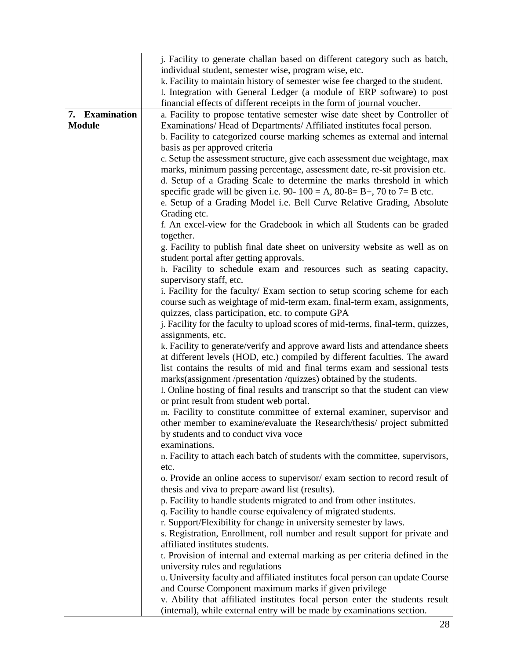|                | j. Facility to generate challan based on different category such as batch,      |
|----------------|---------------------------------------------------------------------------------|
|                | individual student, semester wise, program wise, etc.                           |
|                | k. Facility to maintain history of semester wise fee charged to the student.    |
|                | 1. Integration with General Ledger (a module of ERP software) to post           |
|                | financial effects of different receipts in the form of journal voucher.         |
| 7. Examination | a. Facility to propose tentative semester wise date sheet by Controller of      |
| <b>Module</b>  | Examinations/Head of Departments/Affiliated institutes focal person.            |
|                | b. Facility to categorized course marking schemes as external and internal      |
|                | basis as per approved criteria                                                  |
|                | c. Setup the assessment structure, give each assessment due weightage, max      |
|                | marks, minimum passing percentage, assessment date, re-sit provision etc.       |
|                | d. Setup of a Grading Scale to determine the marks threshold in which           |
|                | specific grade will be given i.e. 90- $100 = A$ , 80-8= B+, 70 to 7= B etc.     |
|                | e. Setup of a Grading Model i.e. Bell Curve Relative Grading, Absolute          |
|                | Grading etc.                                                                    |
|                | f. An excel-view for the Gradebook in which all Students can be graded          |
|                | together.                                                                       |
|                | g. Facility to publish final date sheet on university website as well as on     |
|                | student portal after getting approvals.                                         |
|                | h. Facility to schedule exam and resources such as seating capacity,            |
|                | supervisory staff, etc.                                                         |
|                | i. Facility for the faculty/ Exam section to setup scoring scheme for each      |
|                | course such as weightage of mid-term exam, final-term exam, assignments,        |
|                | quizzes, class participation, etc. to compute GPA                               |
|                | j. Facility for the faculty to upload scores of mid-terms, final-term, quizzes, |
|                | assignments, etc.                                                               |
|                | k. Facility to generate/verify and approve award lists and attendance sheets    |
|                | at different levels (HOD, etc.) compiled by different faculties. The award      |
|                | list contains the results of mid and final terms exam and sessional tests       |
|                | marks(assignment/presentation/quizzes) obtained by the students.                |
|                | 1. Online hosting of final results and transcript so that the student can view  |
|                | or print result from student web portal.                                        |
|                | m. Facility to constitute committee of external examiner, supervisor and        |
|                | other member to examine/evaluate the Research/thesis/ project submitted         |
|                | by students and to conduct viva voce                                            |
|                | examinations.                                                                   |
|                | n. Facility to attach each batch of students with the committee, supervisors,   |
|                | etc.                                                                            |
|                | o. Provide an online access to supervisor/ exam section to record result of     |
|                | thesis and viva to prepare award list (results).                                |
|                | p. Facility to handle students migrated to and from other institutes.           |
|                | q. Facility to handle course equivalency of migrated students.                  |
|                | r. Support/Flexibility for change in university semester by laws.               |
|                | s. Registration, Enrollment, roll number and result support for private and     |
|                | affiliated institutes students.                                                 |
|                | t. Provision of internal and external marking as per criteria defined in the    |
|                | university rules and regulations                                                |
|                | u. University faculty and affiliated institutes focal person can update Course  |
|                | and Course Component maximum marks if given privilege                           |
|                | v. Ability that affiliated institutes focal person enter the students result    |
|                | (internal), while external entry will be made by examinations section.          |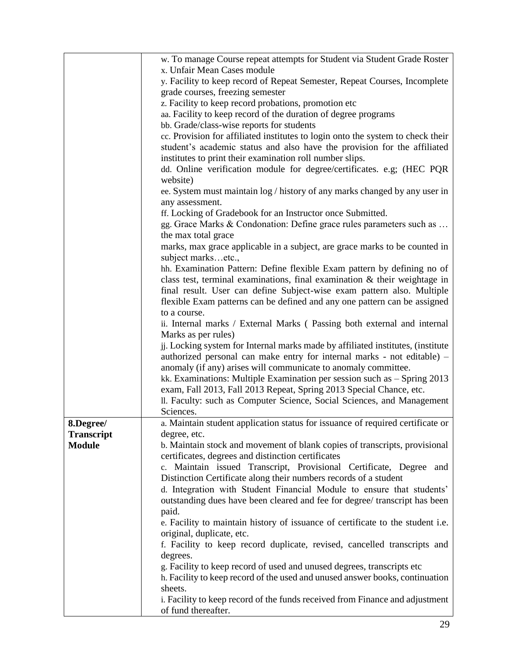|                   | w. To manage Course repeat attempts for Student via Student Grade Roster                                    |
|-------------------|-------------------------------------------------------------------------------------------------------------|
|                   | x. Unfair Mean Cases module                                                                                 |
|                   | y. Facility to keep record of Repeat Semester, Repeat Courses, Incomplete                                   |
|                   | grade courses, freezing semester                                                                            |
|                   | z. Facility to keep record probations, promotion etc                                                        |
|                   | aa. Facility to keep record of the duration of degree programs                                              |
|                   | bb. Grade/class-wise reports for students                                                                   |
|                   | cc. Provision for affiliated institutes to login onto the system to check their                             |
|                   | student's academic status and also have the provision for the affiliated                                    |
|                   | institutes to print their examination roll number slips.                                                    |
|                   | dd. Online verification module for degree/certificates. e.g; (HEC PQR                                       |
|                   | website)                                                                                                    |
|                   | ee. System must maintain log / history of any marks changed by any user in                                  |
|                   | any assessment.                                                                                             |
|                   | ff. Locking of Gradebook for an Instructor once Submitted.                                                  |
|                   | gg. Grace Marks & Condonation: Define grace rules parameters such as                                        |
|                   | the max total grace                                                                                         |
|                   | marks, max grace applicable in a subject, are grace marks to be counted in                                  |
|                   | subject marksetc.,                                                                                          |
|                   | hh. Examination Pattern: Define flexible Exam pattern by defining no of                                     |
|                   | class test, terminal examinations, final examination $\&$ their weightage in                                |
|                   | final result. User can define Subject-wise exam pattern also. Multiple                                      |
|                   | flexible Exam patterns can be defined and any one pattern can be assigned                                   |
|                   | to a course.                                                                                                |
|                   | ii. Internal marks / External Marks (Passing both external and internal                                     |
|                   | Marks as per rules)                                                                                         |
|                   | jj. Locking system for Internal marks made by affiliated institutes, (institute                             |
|                   | authorized personal can make entry for internal marks - not editable) -                                     |
|                   | anomaly (if any) arises will communicate to anomaly committee.                                              |
|                   | kk. Examinations: Multiple Examination per session such as $-$ Spring 2013                                  |
|                   | exam, Fall 2013, Fall 2013 Repeat, Spring 2013 Special Chance, etc.                                         |
|                   | II. Faculty: such as Computer Science, Social Sciences, and Management                                      |
|                   | Sciences.                                                                                                   |
| 8.Degree/         | a. Maintain student application status for issuance of required certificate or                              |
| <b>Transcript</b> | degree, etc.                                                                                                |
| <b>Module</b>     | b. Maintain stock and movement of blank copies of transcripts, provisional                                  |
|                   | certificates, degrees and distinction certificates                                                          |
|                   | c. Maintain issued Transcript, Provisional Certificate, Degree and                                          |
|                   | Distinction Certificate along their numbers records of a student                                            |
|                   | d. Integration with Student Financial Module to ensure that students'                                       |
|                   | outstanding dues have been cleared and fee for degree/ transcript has been                                  |
|                   | paid.                                                                                                       |
|                   | e. Facility to maintain history of issuance of certificate to the student i.e.<br>original, duplicate, etc. |
|                   | f. Facility to keep record duplicate, revised, cancelled transcripts and                                    |
|                   | degrees.                                                                                                    |
|                   | g. Facility to keep record of used and unused degrees, transcripts etc                                      |
|                   | h. Facility to keep record of the used and unused answer books, continuation                                |
|                   | sheets.                                                                                                     |
|                   | i. Facility to keep record of the funds received from Finance and adjustment                                |
|                   | of fund thereafter.                                                                                         |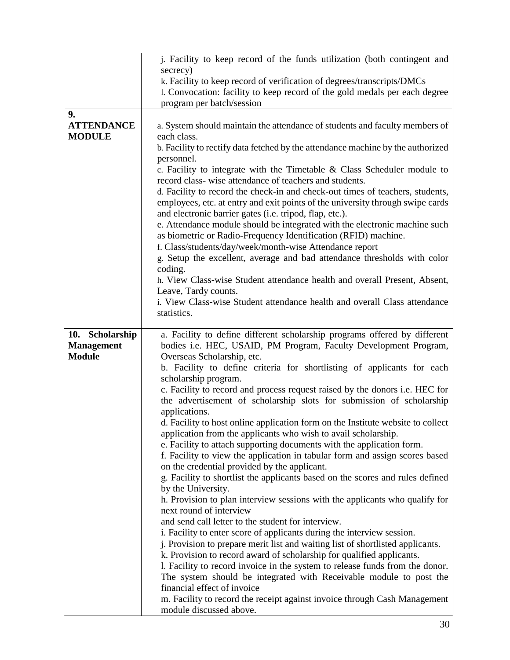|                                          | j. Facility to keep record of the funds utilization (both contingent and<br>secrecy)<br>k. Facility to keep record of verification of degrees/transcripts/DMCs<br>1. Convocation: facility to keep record of the gold medals per each degree                                                                                                                                                                                                                                                                                                                                                                                                                                                                                                                                                                                                                                                                                                                                                                                                                         |
|------------------------------------------|----------------------------------------------------------------------------------------------------------------------------------------------------------------------------------------------------------------------------------------------------------------------------------------------------------------------------------------------------------------------------------------------------------------------------------------------------------------------------------------------------------------------------------------------------------------------------------------------------------------------------------------------------------------------------------------------------------------------------------------------------------------------------------------------------------------------------------------------------------------------------------------------------------------------------------------------------------------------------------------------------------------------------------------------------------------------|
|                                          | program per batch/session                                                                                                                                                                                                                                                                                                                                                                                                                                                                                                                                                                                                                                                                                                                                                                                                                                                                                                                                                                                                                                            |
| 9.<br><b>ATTENDANCE</b><br><b>MODULE</b> | a. System should maintain the attendance of students and faculty members of<br>each class.<br>b. Facility to rectify data fetched by the attendance machine by the authorized<br>personnel.<br>c. Facility to integrate with the Timetable $\&$ Class Scheduler module to<br>record class-wise attendance of teachers and students.<br>d. Facility to record the check-in and check-out times of teachers, students,<br>employees, etc. at entry and exit points of the university through swipe cards<br>and electronic barrier gates (i.e. tripod, flap, etc.).<br>e. Attendance module should be integrated with the electronic machine such<br>as biometric or Radio-Frequency Identification (RFID) machine.<br>f. Class/students/day/week/month-wise Attendance report<br>g. Setup the excellent, average and bad attendance thresholds with color<br>coding.<br>h. View Class-wise Student attendance health and overall Present, Absent,<br>Leave, Tardy counts.<br>i. View Class-wise Student attendance health and overall Class attendance<br>statistics. |
|                                          |                                                                                                                                                                                                                                                                                                                                                                                                                                                                                                                                                                                                                                                                                                                                                                                                                                                                                                                                                                                                                                                                      |
| 10. Scholarship                          | a. Facility to define different scholarship programs offered by different                                                                                                                                                                                                                                                                                                                                                                                                                                                                                                                                                                                                                                                                                                                                                                                                                                                                                                                                                                                            |
| <b>Management</b>                        | bodies i.e. HEC, USAID, PM Program, Faculty Development Program,                                                                                                                                                                                                                                                                                                                                                                                                                                                                                                                                                                                                                                                                                                                                                                                                                                                                                                                                                                                                     |
| <b>Module</b>                            | Overseas Scholarship, etc.<br>b. Facility to define criteria for shortlisting of applicants for each<br>scholarship program.                                                                                                                                                                                                                                                                                                                                                                                                                                                                                                                                                                                                                                                                                                                                                                                                                                                                                                                                         |
|                                          | c. Facility to record and process request raised by the donors i.e. HEC for<br>the advertisement of scholarship slots for submission of scholarship<br>applications.                                                                                                                                                                                                                                                                                                                                                                                                                                                                                                                                                                                                                                                                                                                                                                                                                                                                                                 |
|                                          | d. Facility to host online application form on the Institute website to collect                                                                                                                                                                                                                                                                                                                                                                                                                                                                                                                                                                                                                                                                                                                                                                                                                                                                                                                                                                                      |
|                                          | application from the applicants who wish to avail scholarship.                                                                                                                                                                                                                                                                                                                                                                                                                                                                                                                                                                                                                                                                                                                                                                                                                                                                                                                                                                                                       |
|                                          | e. Facility to attach supporting documents with the application form.                                                                                                                                                                                                                                                                                                                                                                                                                                                                                                                                                                                                                                                                                                                                                                                                                                                                                                                                                                                                |
|                                          | f. Facility to view the application in tabular form and assign scores based                                                                                                                                                                                                                                                                                                                                                                                                                                                                                                                                                                                                                                                                                                                                                                                                                                                                                                                                                                                          |
|                                          | on the credential provided by the applicant.                                                                                                                                                                                                                                                                                                                                                                                                                                                                                                                                                                                                                                                                                                                                                                                                                                                                                                                                                                                                                         |
|                                          | g. Facility to shortlist the applicants based on the scores and rules defined                                                                                                                                                                                                                                                                                                                                                                                                                                                                                                                                                                                                                                                                                                                                                                                                                                                                                                                                                                                        |
|                                          | by the University.                                                                                                                                                                                                                                                                                                                                                                                                                                                                                                                                                                                                                                                                                                                                                                                                                                                                                                                                                                                                                                                   |
|                                          | h. Provision to plan interview sessions with the applicants who qualify for<br>next round of interview                                                                                                                                                                                                                                                                                                                                                                                                                                                                                                                                                                                                                                                                                                                                                                                                                                                                                                                                                               |
|                                          | and send call letter to the student for interview.                                                                                                                                                                                                                                                                                                                                                                                                                                                                                                                                                                                                                                                                                                                                                                                                                                                                                                                                                                                                                   |
|                                          | i. Facility to enter score of applicants during the interview session.                                                                                                                                                                                                                                                                                                                                                                                                                                                                                                                                                                                                                                                                                                                                                                                                                                                                                                                                                                                               |
|                                          | j. Provision to prepare merit list and waiting list of shortlisted applicants.                                                                                                                                                                                                                                                                                                                                                                                                                                                                                                                                                                                                                                                                                                                                                                                                                                                                                                                                                                                       |
|                                          | k. Provision to record award of scholarship for qualified applicants.                                                                                                                                                                                                                                                                                                                                                                                                                                                                                                                                                                                                                                                                                                                                                                                                                                                                                                                                                                                                |
|                                          | 1. Facility to record invoice in the system to release funds from the donor.                                                                                                                                                                                                                                                                                                                                                                                                                                                                                                                                                                                                                                                                                                                                                                                                                                                                                                                                                                                         |
|                                          | The system should be integrated with Receivable module to post the                                                                                                                                                                                                                                                                                                                                                                                                                                                                                                                                                                                                                                                                                                                                                                                                                                                                                                                                                                                                   |
|                                          | financial effect of invoice                                                                                                                                                                                                                                                                                                                                                                                                                                                                                                                                                                                                                                                                                                                                                                                                                                                                                                                                                                                                                                          |
|                                          | m. Facility to record the receipt against invoice through Cash Management                                                                                                                                                                                                                                                                                                                                                                                                                                                                                                                                                                                                                                                                                                                                                                                                                                                                                                                                                                                            |
|                                          | module discussed above.                                                                                                                                                                                                                                                                                                                                                                                                                                                                                                                                                                                                                                                                                                                                                                                                                                                                                                                                                                                                                                              |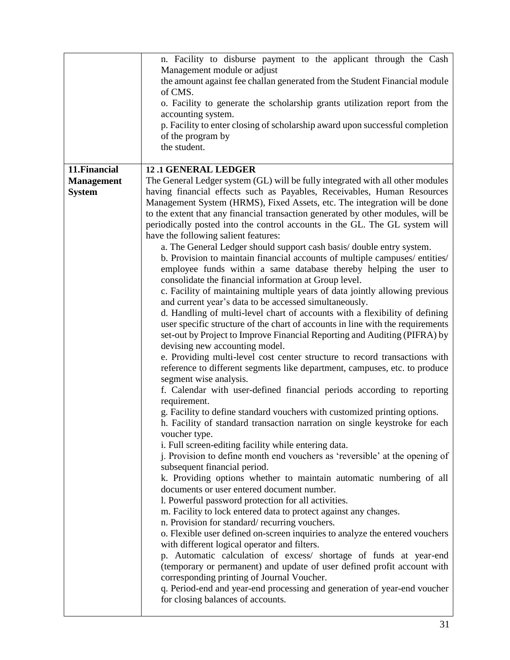|                                                     | n. Facility to disburse payment to the applicant through the Cash<br>Management module or adjust<br>the amount against fee challan generated from the Student Financial module<br>of CMS.<br>o. Facility to generate the scholarship grants utilization report from the<br>accounting system.<br>p. Facility to enter closing of scholarship award upon successful completion<br>of the program by<br>the student.                                                                                                                                                                                                                                                                                                                                                                                                                                                                                                                                                                                                                                                                                                                                                                                                                                                                                                                                                                                                                                                                                                                                                                                                                                                                                                                                                                                                                                                                                                                                                                                                                                                                                                                                                                                                                                                                                                                                                                                                                                                                                                                                                              |
|-----------------------------------------------------|---------------------------------------------------------------------------------------------------------------------------------------------------------------------------------------------------------------------------------------------------------------------------------------------------------------------------------------------------------------------------------------------------------------------------------------------------------------------------------------------------------------------------------------------------------------------------------------------------------------------------------------------------------------------------------------------------------------------------------------------------------------------------------------------------------------------------------------------------------------------------------------------------------------------------------------------------------------------------------------------------------------------------------------------------------------------------------------------------------------------------------------------------------------------------------------------------------------------------------------------------------------------------------------------------------------------------------------------------------------------------------------------------------------------------------------------------------------------------------------------------------------------------------------------------------------------------------------------------------------------------------------------------------------------------------------------------------------------------------------------------------------------------------------------------------------------------------------------------------------------------------------------------------------------------------------------------------------------------------------------------------------------------------------------------------------------------------------------------------------------------------------------------------------------------------------------------------------------------------------------------------------------------------------------------------------------------------------------------------------------------------------------------------------------------------------------------------------------------------------------------------------------------------------------------------------------------------|
| 11. Financial<br><b>Management</b><br><b>System</b> | <b>12.1 GENERAL LEDGER</b><br>The General Ledger system (GL) will be fully integrated with all other modules<br>having financial effects such as Payables, Receivables, Human Resources<br>Management System (HRMS), Fixed Assets, etc. The integration will be done<br>to the extent that any financial transaction generated by other modules, will be<br>periodically posted into the control accounts in the GL. The GL system will<br>have the following salient features:<br>a. The General Ledger should support cash basis/double entry system.<br>b. Provision to maintain financial accounts of multiple campuses/entities/<br>employee funds within a same database thereby helping the user to<br>consolidate the financial information at Group level.<br>c. Facility of maintaining multiple years of data jointly allowing previous<br>and current year's data to be accessed simultaneously.<br>d. Handling of multi-level chart of accounts with a flexibility of defining<br>user specific structure of the chart of accounts in line with the requirements<br>set-out by Project to Improve Financial Reporting and Auditing (PIFRA) by<br>devising new accounting model.<br>e. Providing multi-level cost center structure to record transactions with<br>reference to different segments like department, campuses, etc. to produce<br>segment wise analysis.<br>f. Calendar with user-defined financial periods according to reporting<br>requirement.<br>g. Facility to define standard vouchers with customized printing options.<br>h. Facility of standard transaction narration on single keystroke for each<br>voucher type.<br>i. Full screen-editing facility while entering data.<br>j. Provision to define month end vouchers as 'reversible' at the opening of<br>subsequent financial period.<br>k. Providing options whether to maintain automatic numbering of all<br>documents or user entered document number.<br>1. Powerful password protection for all activities.<br>m. Facility to lock entered data to protect against any changes.<br>n. Provision for standard/recurring vouchers.<br>o. Flexible user defined on-screen inquiries to analyze the entered vouchers<br>with different logical operator and filters.<br>p. Automatic calculation of excess/ shortage of funds at year-end<br>(temporary or permanent) and update of user defined profit account with<br>corresponding printing of Journal Voucher.<br>q. Period-end and year-end processing and generation of year-end voucher<br>for closing balances of accounts. |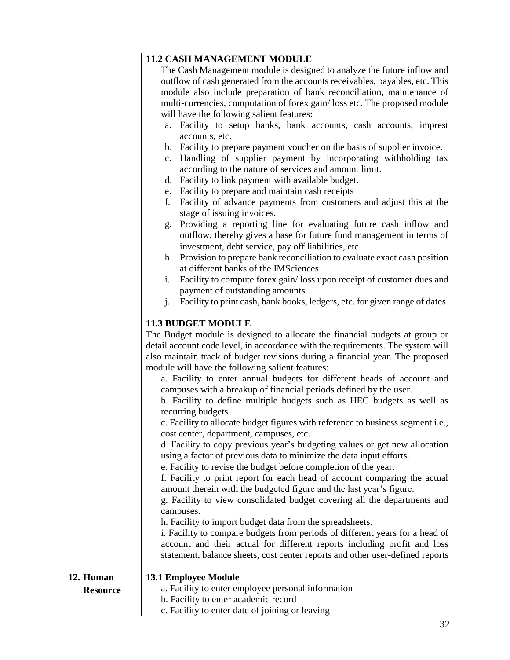|                 | <b>11.2 CASH MANAGEMENT MODULE</b>                                                                                                                |
|-----------------|---------------------------------------------------------------------------------------------------------------------------------------------------|
|                 | The Cash Management module is designed to analyze the future inflow and                                                                           |
|                 | outflow of cash generated from the accounts receivables, payables, etc. This                                                                      |
|                 | module also include preparation of bank reconciliation, maintenance of                                                                            |
|                 | multi-currencies, computation of forex gain/loss etc. The proposed module                                                                         |
|                 | will have the following salient features:                                                                                                         |
|                 | Facility to setup banks, bank accounts, cash accounts, imprest<br>a.                                                                              |
|                 | accounts, etc.                                                                                                                                    |
|                 | b. Facility to prepare payment voucher on the basis of supplier invoice.                                                                          |
|                 | Handling of supplier payment by incorporating withholding tax<br>$c_{\cdot}$                                                                      |
|                 | according to the nature of services and amount limit.                                                                                             |
|                 | Facility to link payment with available budget.<br>d.                                                                                             |
|                 | Facility to prepare and maintain cash receipts<br>e.<br>f.                                                                                        |
|                 | Facility of advance payments from customers and adjust this at the<br>stage of issuing invoices.                                                  |
|                 | Providing a reporting line for evaluating future cash inflow and<br>g.                                                                            |
|                 | outflow, thereby gives a base for future fund management in terms of                                                                              |
|                 | investment, debt service, pay off liabilities, etc.                                                                                               |
|                 | Provision to prepare bank reconciliation to evaluate exact cash position<br>h.<br>at different banks of the IMSciences.                           |
|                 | Facility to compute forex gain/loss upon receipt of customer dues and<br>i.                                                                       |
|                 | payment of outstanding amounts.                                                                                                                   |
|                 | $\mathbf{i}$ .<br>Facility to print cash, bank books, ledgers, etc. for given range of dates.                                                     |
|                 | <b>11.3 BUDGET MODULE</b>                                                                                                                         |
|                 | The Budget module is designed to allocate the financial budgets at group or                                                                       |
|                 | detail account code level, in accordance with the requirements. The system will                                                                   |
|                 | also maintain track of budget revisions during a financial year. The proposed                                                                     |
|                 | module will have the following salient features:                                                                                                  |
|                 | a. Facility to enter annual budgets for different heads of account and                                                                            |
|                 | campuses with a breakup of financial periods defined by the user.                                                                                 |
|                 | b. Facility to define multiple budgets such as HEC budgets as well as                                                                             |
|                 | recurring budgets.                                                                                                                                |
|                 | c. Facility to allocate budget figures with reference to business segment i.e.,                                                                   |
|                 | cost center, department, campuses, etc.                                                                                                           |
|                 | d. Facility to copy previous year's budgeting values or get new allocation<br>using a factor of previous data to minimize the data input efforts. |
|                 | e. Facility to revise the budget before completion of the year.                                                                                   |
|                 | f. Facility to print report for each head of account comparing the actual                                                                         |
|                 | amount therein with the budgeted figure and the last year's figure.                                                                               |
|                 | g. Facility to view consolidated budget covering all the departments and                                                                          |
|                 | campuses.                                                                                                                                         |
|                 | h. Facility to import budget data from the spreadsheets.                                                                                          |
|                 | i. Facility to compare budgets from periods of different years for a head of                                                                      |
|                 | account and their actual for different reports including profit and loss                                                                          |
|                 | statement, balance sheets, cost center reports and other user-defined reports                                                                     |
| 12. Human       | <b>13.1 Employee Module</b>                                                                                                                       |
| <b>Resource</b> | a. Facility to enter employee personal information                                                                                                |
|                 | b. Facility to enter academic record                                                                                                              |
|                 | c. Facility to enter date of joining or leaving                                                                                                   |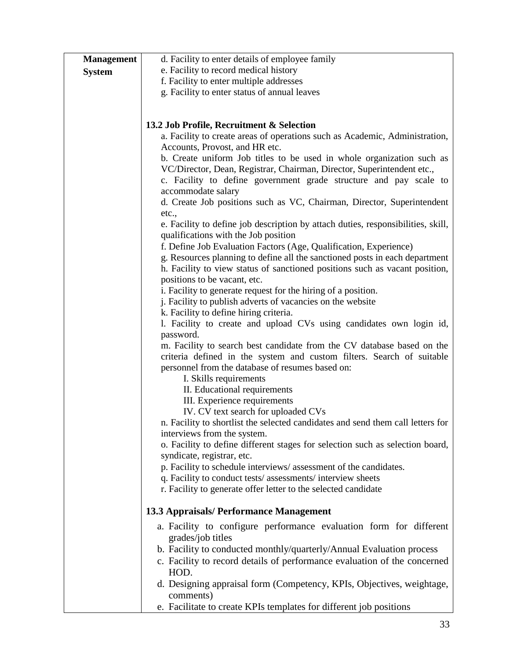| <b>Management</b> | d. Facility to enter details of employee family                                                             |
|-------------------|-------------------------------------------------------------------------------------------------------------|
| <b>System</b>     | e. Facility to record medical history                                                                       |
|                   | f. Facility to enter multiple addresses                                                                     |
|                   | g. Facility to enter status of annual leaves                                                                |
|                   |                                                                                                             |
|                   |                                                                                                             |
|                   | 13.2 Job Profile, Recruitment & Selection                                                                   |
|                   | a. Facility to create areas of operations such as Academic, Administration,                                 |
|                   | Accounts, Provost, and HR etc.                                                                              |
|                   | b. Create uniform Job titles to be used in whole organization such as                                       |
|                   | VC/Director, Dean, Registrar, Chairman, Director, Superintendent etc.,                                      |
|                   | c. Facility to define government grade structure and pay scale to                                           |
|                   | accommodate salary                                                                                          |
|                   | d. Create Job positions such as VC, Chairman, Director, Superintendent                                      |
|                   | etc.,                                                                                                       |
|                   | e. Facility to define job description by attach duties, responsibilities, skill,                            |
|                   | qualifications with the Job position                                                                        |
|                   | f. Define Job Evaluation Factors (Age, Qualification, Experience)                                           |
|                   | g. Resources planning to define all the sanctioned posts in each department                                 |
|                   | h. Facility to view status of sanctioned positions such as vacant position,<br>positions to be vacant, etc. |
|                   | i. Facility to generate request for the hiring of a position.                                               |
|                   | j. Facility to publish adverts of vacancies on the website                                                  |
|                   | k. Facility to define hiring criteria.                                                                      |
|                   | 1. Facility to create and upload CVs using candidates own login id,                                         |
|                   | password.                                                                                                   |
|                   | m. Facility to search best candidate from the CV database based on the                                      |
|                   | criteria defined in the system and custom filters. Search of suitable                                       |
|                   | personnel from the database of resumes based on:                                                            |
|                   | I. Skills requirements                                                                                      |
|                   | II. Educational requirements                                                                                |
|                   | III. Experience requirements                                                                                |
|                   | IV. CV text search for uploaded CVs                                                                         |
|                   | n. Facility to shortlist the selected candidates and send them call letters for                             |
|                   | interviews from the system.                                                                                 |
|                   | o. Facility to define different stages for selection such as selection board,                               |
|                   | syndicate, registrar, etc.                                                                                  |
|                   | p. Facility to schedule interviews/assessment of the candidates.                                            |
|                   | q. Facility to conduct tests/assessments/interview sheets                                                   |
|                   | r. Facility to generate offer letter to the selected candidate                                              |
|                   | 13.3 Appraisals/ Performance Management                                                                     |
|                   |                                                                                                             |
|                   | a. Facility to configure performance evaluation form for different<br>grades/job titles                     |
|                   | b. Facility to conducted monthly/quarterly/Annual Evaluation process                                        |
|                   | c. Facility to record details of performance evaluation of the concerned                                    |
|                   | HOD.                                                                                                        |
|                   | d. Designing appraisal form (Competency, KPIs, Objectives, weightage,                                       |
|                   | comments)                                                                                                   |
|                   | e. Facilitate to create KPIs templates for different job positions                                          |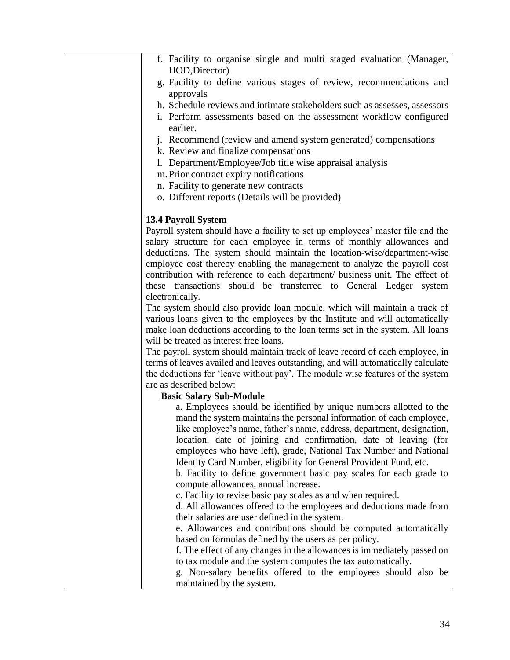| f. Facility to organise single and multi staged evaluation (Manager,<br>HOD, Director)<br>g. Facility to define various stages of review, recommendations and<br>approvals<br>h. Schedule reviews and intimate stakeholders such as assesses, assessors<br>i. Perform assessments based on the assessment workflow configured<br>earlier.<br>j. Recommend (review and amend system generated) compensations<br>k. Review and finalize compensations<br>1. Department/Employee/Job title wise appraisal analysis<br>m. Prior contract expiry notifications<br>n. Facility to generate new contracts<br>o. Different reports (Details will be provided)<br>13.4 Payroll System<br>Payroll system should have a facility to set up employees' master file and the<br>salary structure for each employee in terms of monthly allowances and<br>deductions. The system should maintain the location-wise/department-wise<br>employee cost thereby enabling the management to analyze the payroll cost<br>contribution with reference to each department/ business unit. The effect of<br>these transactions should be transferred to General Ledger system<br>electronically.<br>The system should also provide loan module, which will maintain a track of<br>various loans given to the employees by the Institute and will automatically<br>make loan deductions according to the loan terms set in the system. All loans<br>will be treated as interest free loans.<br>The payroll system should maintain track of leave record of each employee, in<br>terms of leaves availed and leaves outstanding, and will automatically calculate<br>the deductions for 'leave without pay'. The module wise features of the system<br>are as described below:<br><b>Basic Salary Sub-Module</b><br>a. Employees should be identified by unique numbers allotted to the<br>mand the system maintains the personal information of each employee,<br>like employee's name, father's name, address, department, designation,<br>location, date of joining and confirmation, date of leaving (for<br>employees who have left), grade, National Tax Number and National<br>Identity Card Number, eligibility for General Provident Fund, etc.<br>b. Facility to define government basic pay scales for each grade to<br>compute allowances, annual increase.<br>c. Facility to revise basic pay scales as and when required.<br>d. All allowances offered to the employees and deductions made from<br>their salaries are user defined in the system.<br>e. Allowances and contributions should be computed automatically<br>based on formulas defined by the users as per policy.<br>f. The effect of any changes in the allowances is immediately passed on<br>to tax module and the system computes the tax automatically.<br>g. Non-salary benefits offered to the employees should also be<br>maintained by the system. |  |
|---------------------------------------------------------------------------------------------------------------------------------------------------------------------------------------------------------------------------------------------------------------------------------------------------------------------------------------------------------------------------------------------------------------------------------------------------------------------------------------------------------------------------------------------------------------------------------------------------------------------------------------------------------------------------------------------------------------------------------------------------------------------------------------------------------------------------------------------------------------------------------------------------------------------------------------------------------------------------------------------------------------------------------------------------------------------------------------------------------------------------------------------------------------------------------------------------------------------------------------------------------------------------------------------------------------------------------------------------------------------------------------------------------------------------------------------------------------------------------------------------------------------------------------------------------------------------------------------------------------------------------------------------------------------------------------------------------------------------------------------------------------------------------------------------------------------------------------------------------------------------------------------------------------------------------------------------------------------------------------------------------------------------------------------------------------------------------------------------------------------------------------------------------------------------------------------------------------------------------------------------------------------------------------------------------------------------------------------------------------------------------------------------------------------------------------------------------------------------------------------------------------------------------------------------------------------------------------------------------------------------------------------------------------------------------------------------------------------------------------------------------------------------------------------------------------------------------------------------------------------------------------------------------------|--|
|                                                                                                                                                                                                                                                                                                                                                                                                                                                                                                                                                                                                                                                                                                                                                                                                                                                                                                                                                                                                                                                                                                                                                                                                                                                                                                                                                                                                                                                                                                                                                                                                                                                                                                                                                                                                                                                                                                                                                                                                                                                                                                                                                                                                                                                                                                                                                                                                                                                                                                                                                                                                                                                                                                                                                                                                                                                                                                               |  |
|                                                                                                                                                                                                                                                                                                                                                                                                                                                                                                                                                                                                                                                                                                                                                                                                                                                                                                                                                                                                                                                                                                                                                                                                                                                                                                                                                                                                                                                                                                                                                                                                                                                                                                                                                                                                                                                                                                                                                                                                                                                                                                                                                                                                                                                                                                                                                                                                                                                                                                                                                                                                                                                                                                                                                                                                                                                                                                               |  |
|                                                                                                                                                                                                                                                                                                                                                                                                                                                                                                                                                                                                                                                                                                                                                                                                                                                                                                                                                                                                                                                                                                                                                                                                                                                                                                                                                                                                                                                                                                                                                                                                                                                                                                                                                                                                                                                                                                                                                                                                                                                                                                                                                                                                                                                                                                                                                                                                                                                                                                                                                                                                                                                                                                                                                                                                                                                                                                               |  |
|                                                                                                                                                                                                                                                                                                                                                                                                                                                                                                                                                                                                                                                                                                                                                                                                                                                                                                                                                                                                                                                                                                                                                                                                                                                                                                                                                                                                                                                                                                                                                                                                                                                                                                                                                                                                                                                                                                                                                                                                                                                                                                                                                                                                                                                                                                                                                                                                                                                                                                                                                                                                                                                                                                                                                                                                                                                                                                               |  |
|                                                                                                                                                                                                                                                                                                                                                                                                                                                                                                                                                                                                                                                                                                                                                                                                                                                                                                                                                                                                                                                                                                                                                                                                                                                                                                                                                                                                                                                                                                                                                                                                                                                                                                                                                                                                                                                                                                                                                                                                                                                                                                                                                                                                                                                                                                                                                                                                                                                                                                                                                                                                                                                                                                                                                                                                                                                                                                               |  |
|                                                                                                                                                                                                                                                                                                                                                                                                                                                                                                                                                                                                                                                                                                                                                                                                                                                                                                                                                                                                                                                                                                                                                                                                                                                                                                                                                                                                                                                                                                                                                                                                                                                                                                                                                                                                                                                                                                                                                                                                                                                                                                                                                                                                                                                                                                                                                                                                                                                                                                                                                                                                                                                                                                                                                                                                                                                                                                               |  |
|                                                                                                                                                                                                                                                                                                                                                                                                                                                                                                                                                                                                                                                                                                                                                                                                                                                                                                                                                                                                                                                                                                                                                                                                                                                                                                                                                                                                                                                                                                                                                                                                                                                                                                                                                                                                                                                                                                                                                                                                                                                                                                                                                                                                                                                                                                                                                                                                                                                                                                                                                                                                                                                                                                                                                                                                                                                                                                               |  |
|                                                                                                                                                                                                                                                                                                                                                                                                                                                                                                                                                                                                                                                                                                                                                                                                                                                                                                                                                                                                                                                                                                                                                                                                                                                                                                                                                                                                                                                                                                                                                                                                                                                                                                                                                                                                                                                                                                                                                                                                                                                                                                                                                                                                                                                                                                                                                                                                                                                                                                                                                                                                                                                                                                                                                                                                                                                                                                               |  |
|                                                                                                                                                                                                                                                                                                                                                                                                                                                                                                                                                                                                                                                                                                                                                                                                                                                                                                                                                                                                                                                                                                                                                                                                                                                                                                                                                                                                                                                                                                                                                                                                                                                                                                                                                                                                                                                                                                                                                                                                                                                                                                                                                                                                                                                                                                                                                                                                                                                                                                                                                                                                                                                                                                                                                                                                                                                                                                               |  |
|                                                                                                                                                                                                                                                                                                                                                                                                                                                                                                                                                                                                                                                                                                                                                                                                                                                                                                                                                                                                                                                                                                                                                                                                                                                                                                                                                                                                                                                                                                                                                                                                                                                                                                                                                                                                                                                                                                                                                                                                                                                                                                                                                                                                                                                                                                                                                                                                                                                                                                                                                                                                                                                                                                                                                                                                                                                                                                               |  |
|                                                                                                                                                                                                                                                                                                                                                                                                                                                                                                                                                                                                                                                                                                                                                                                                                                                                                                                                                                                                                                                                                                                                                                                                                                                                                                                                                                                                                                                                                                                                                                                                                                                                                                                                                                                                                                                                                                                                                                                                                                                                                                                                                                                                                                                                                                                                                                                                                                                                                                                                                                                                                                                                                                                                                                                                                                                                                                               |  |
|                                                                                                                                                                                                                                                                                                                                                                                                                                                                                                                                                                                                                                                                                                                                                                                                                                                                                                                                                                                                                                                                                                                                                                                                                                                                                                                                                                                                                                                                                                                                                                                                                                                                                                                                                                                                                                                                                                                                                                                                                                                                                                                                                                                                                                                                                                                                                                                                                                                                                                                                                                                                                                                                                                                                                                                                                                                                                                               |  |
|                                                                                                                                                                                                                                                                                                                                                                                                                                                                                                                                                                                                                                                                                                                                                                                                                                                                                                                                                                                                                                                                                                                                                                                                                                                                                                                                                                                                                                                                                                                                                                                                                                                                                                                                                                                                                                                                                                                                                                                                                                                                                                                                                                                                                                                                                                                                                                                                                                                                                                                                                                                                                                                                                                                                                                                                                                                                                                               |  |
|                                                                                                                                                                                                                                                                                                                                                                                                                                                                                                                                                                                                                                                                                                                                                                                                                                                                                                                                                                                                                                                                                                                                                                                                                                                                                                                                                                                                                                                                                                                                                                                                                                                                                                                                                                                                                                                                                                                                                                                                                                                                                                                                                                                                                                                                                                                                                                                                                                                                                                                                                                                                                                                                                                                                                                                                                                                                                                               |  |
|                                                                                                                                                                                                                                                                                                                                                                                                                                                                                                                                                                                                                                                                                                                                                                                                                                                                                                                                                                                                                                                                                                                                                                                                                                                                                                                                                                                                                                                                                                                                                                                                                                                                                                                                                                                                                                                                                                                                                                                                                                                                                                                                                                                                                                                                                                                                                                                                                                                                                                                                                                                                                                                                                                                                                                                                                                                                                                               |  |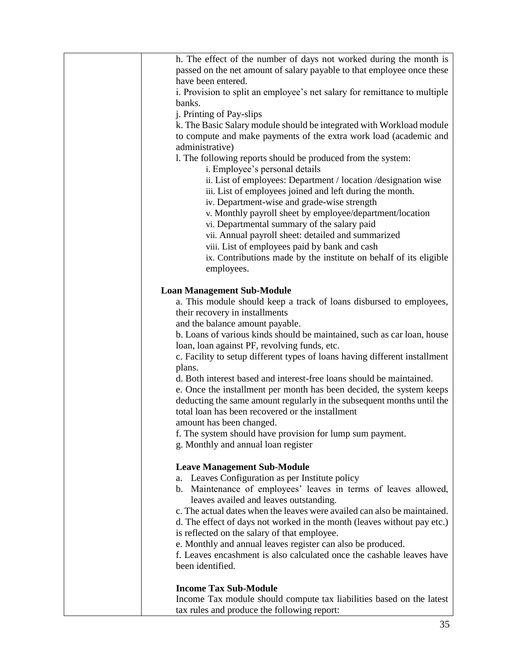| h. The effect of the number of days not worked during the month is         |  |  |  |  |
|----------------------------------------------------------------------------|--|--|--|--|
| passed on the net amount of salary payable to that employee once these     |  |  |  |  |
| have been entered.                                                         |  |  |  |  |
| i. Provision to split an employee's net salary for remittance to multiple  |  |  |  |  |
| banks.                                                                     |  |  |  |  |
| j. Printing of Pay-slips                                                   |  |  |  |  |
| k. The Basic Salary module should be integrated with Workload module       |  |  |  |  |
| to compute and make payments of the extra work load (academic and          |  |  |  |  |
| administrative)                                                            |  |  |  |  |
| 1. The following reports should be produced from the system:               |  |  |  |  |
| i. Employee's personal details                                             |  |  |  |  |
| ii. List of employees: Department / location / designation wise            |  |  |  |  |
| iii. List of employees joined and left during the month.                   |  |  |  |  |
| iv. Department-wise and grade-wise strength                                |  |  |  |  |
| v. Monthly payroll sheet by employee/department/location                   |  |  |  |  |
|                                                                            |  |  |  |  |
| vi. Departmental summary of the salary paid                                |  |  |  |  |
| vii. Annual payroll sheet: detailed and summarized                         |  |  |  |  |
| viii. List of employees paid by bank and cash                              |  |  |  |  |
| ix. Contributions made by the institute on behalf of its eligible          |  |  |  |  |
| employees.                                                                 |  |  |  |  |
|                                                                            |  |  |  |  |
| <b>Loan Management Sub-Module</b>                                          |  |  |  |  |
| a. This module should keep a track of loans disbursed to employees,        |  |  |  |  |
| their recovery in installments                                             |  |  |  |  |
| and the balance amount payable.                                            |  |  |  |  |
| b. Loans of various kinds should be maintained, such as car loan, house    |  |  |  |  |
| loan, loan against PF, revolving funds, etc.                               |  |  |  |  |
| c. Facility to setup different types of loans having different installment |  |  |  |  |
| plans.                                                                     |  |  |  |  |
| d. Both interest based and interest-free loans should be maintained.       |  |  |  |  |
| e. Once the installment per month has been decided, the system keeps       |  |  |  |  |
| deducting the same amount regularly in the subsequent months until the     |  |  |  |  |
| total loan has been recovered or the installment                           |  |  |  |  |
| amount has been changed.                                                   |  |  |  |  |
| f. The system should have provision for lump sum payment.                  |  |  |  |  |
| g. Monthly and annual loan register                                        |  |  |  |  |
|                                                                            |  |  |  |  |
| <b>Leave Management Sub-Module</b>                                         |  |  |  |  |
| Leaves Configuration as per Institute policy<br>a.                         |  |  |  |  |
| b. Maintenance of employees' leaves in terms of leaves allowed,            |  |  |  |  |
| leaves availed and leaves outstanding.                                     |  |  |  |  |
| c. The actual dates when the leaves were availed can also be maintained.   |  |  |  |  |
| d. The effect of days not worked in the month (leaves without pay etc.)    |  |  |  |  |
| is reflected on the salary of that employee.                               |  |  |  |  |
| e. Monthly and annual leaves register can also be produced.                |  |  |  |  |
| f. Leaves encashment is also calculated once the cashable leaves have      |  |  |  |  |
| been identified.                                                           |  |  |  |  |
|                                                                            |  |  |  |  |
| <b>Income Tax Sub-Module</b>                                               |  |  |  |  |
| Income Tax module should compute tax liabilities based on the latest       |  |  |  |  |
| tax rules and produce the following report:                                |  |  |  |  |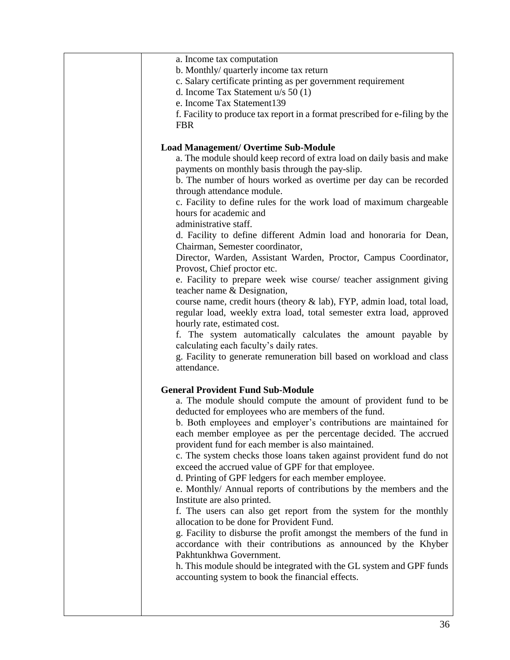| a. Income tax computation<br>b. Monthly/ quarterly income tax return<br>c. Salary certificate printing as per government requirement<br>d. Income Tax Statement u/s 50 (1)<br>e. Income Tax Statement139<br>f. Facility to produce tax report in a format prescribed for e-filing by the<br><b>FBR</b>                                                                                                                                                                                                                                                                                                                                                                                                                                                                                                                                                                                                                                                                                                                                                                                                                                                                                                                                                                                                                                                                                                                                                                                                                                                                                                                                                                                                                                                                                                                                                                                                                                                                                                                                                                                                                                                                                        |
|-----------------------------------------------------------------------------------------------------------------------------------------------------------------------------------------------------------------------------------------------------------------------------------------------------------------------------------------------------------------------------------------------------------------------------------------------------------------------------------------------------------------------------------------------------------------------------------------------------------------------------------------------------------------------------------------------------------------------------------------------------------------------------------------------------------------------------------------------------------------------------------------------------------------------------------------------------------------------------------------------------------------------------------------------------------------------------------------------------------------------------------------------------------------------------------------------------------------------------------------------------------------------------------------------------------------------------------------------------------------------------------------------------------------------------------------------------------------------------------------------------------------------------------------------------------------------------------------------------------------------------------------------------------------------------------------------------------------------------------------------------------------------------------------------------------------------------------------------------------------------------------------------------------------------------------------------------------------------------------------------------------------------------------------------------------------------------------------------------------------------------------------------------------------------------------------------|
| <b>Load Management/ Overtime Sub-Module</b><br>a. The module should keep record of extra load on daily basis and make<br>payments on monthly basis through the pay-slip.<br>b. The number of hours worked as overtime per day can be recorded<br>through attendance module.<br>c. Facility to define rules for the work load of maximum chargeable<br>hours for academic and<br>administrative staff.<br>d. Facility to define different Admin load and honoraria for Dean,<br>Chairman, Semester coordinator,<br>Director, Warden, Assistant Warden, Proctor, Campus Coordinator,<br>Provost, Chief proctor etc.<br>e. Facility to prepare week wise course/ teacher assignment giving<br>teacher name & Designation,<br>course name, credit hours (theory & lab), FYP, admin load, total load,<br>regular load, weekly extra load, total semester extra load, approved<br>hourly rate, estimated cost.<br>f. The system automatically calculates the amount payable by<br>calculating each faculty's daily rates.<br>g. Facility to generate remuneration bill based on workload and class<br>attendance.<br><b>General Provident Fund Sub-Module</b><br>a. The module should compute the amount of provident fund to be<br>deducted for employees who are members of the fund.<br>b. Both employees and employer's contributions are maintained for<br>each member employee as per the percentage decided. The accrued<br>provident fund for each member is also maintained.<br>c. The system checks those loans taken against provident fund do not<br>exceed the accrued value of GPF for that employee.<br>d. Printing of GPF ledgers for each member employee.<br>e. Monthly/ Annual reports of contributions by the members and the<br>Institute are also printed.<br>f. The users can also get report from the system for the monthly<br>allocation to be done for Provident Fund.<br>g. Facility to disburse the profit amongst the members of the fund in<br>accordance with their contributions as announced by the Khyber<br>Pakhtunkhwa Government.<br>h. This module should be integrated with the GL system and GPF funds<br>accounting system to book the financial effects. |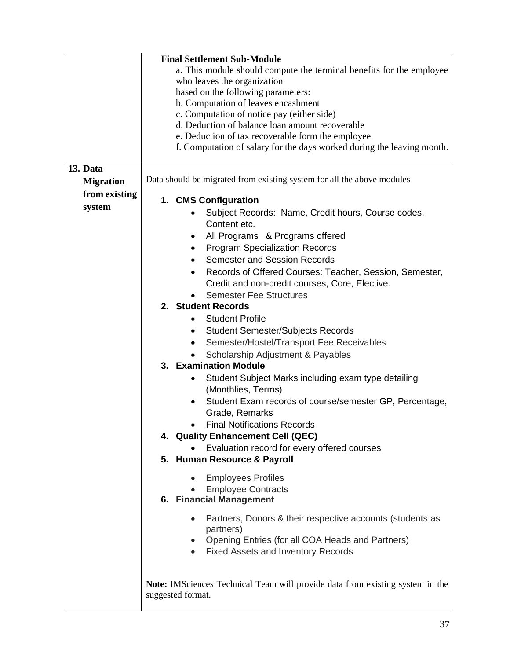|                  | <b>Final Settlement Sub-Module</b>                                                   |  |  |  |  |  |  |
|------------------|--------------------------------------------------------------------------------------|--|--|--|--|--|--|
|                  | a. This module should compute the terminal benefits for the employee                 |  |  |  |  |  |  |
|                  | who leaves the organization                                                          |  |  |  |  |  |  |
|                  | based on the following parameters:                                                   |  |  |  |  |  |  |
|                  | b. Computation of leaves encashment                                                  |  |  |  |  |  |  |
|                  | c. Computation of notice pay (either side)                                           |  |  |  |  |  |  |
|                  | d. Deduction of balance loan amount recoverable                                      |  |  |  |  |  |  |
|                  | e. Deduction of tax recoverable form the employee                                    |  |  |  |  |  |  |
|                  | f. Computation of salary for the days worked during the leaving month.               |  |  |  |  |  |  |
|                  |                                                                                      |  |  |  |  |  |  |
| 13. Data         |                                                                                      |  |  |  |  |  |  |
| <b>Migration</b> | Data should be migrated from existing system for all the above modules               |  |  |  |  |  |  |
| from existing    | 1. CMS Configuration                                                                 |  |  |  |  |  |  |
| system           |                                                                                      |  |  |  |  |  |  |
|                  | Subject Records: Name, Credit hours, Course codes,                                   |  |  |  |  |  |  |
|                  | Content etc.                                                                         |  |  |  |  |  |  |
|                  | All Programs & Programs offered<br>٠                                                 |  |  |  |  |  |  |
|                  | <b>Program Specialization Records</b>                                                |  |  |  |  |  |  |
|                  | <b>Semester and Session Records</b>                                                  |  |  |  |  |  |  |
|                  | Records of Offered Courses: Teacher, Session, Semester,<br>$\bullet$                 |  |  |  |  |  |  |
|                  | Credit and non-credit courses, Core, Elective.                                       |  |  |  |  |  |  |
|                  | <b>Semester Fee Structures</b>                                                       |  |  |  |  |  |  |
|                  | 2. Student Records                                                                   |  |  |  |  |  |  |
|                  | <b>Student Profile</b>                                                               |  |  |  |  |  |  |
|                  | <b>Student Semester/Subjects Records</b><br>٠                                        |  |  |  |  |  |  |
|                  | Semester/Hostel/Transport Fee Receivables                                            |  |  |  |  |  |  |
|                  | Scholarship Adjustment & Payables                                                    |  |  |  |  |  |  |
|                  | 3. Examination Module                                                                |  |  |  |  |  |  |
|                  | Student Subject Marks including exam type detailing                                  |  |  |  |  |  |  |
|                  | (Monthlies, Terms)                                                                   |  |  |  |  |  |  |
|                  | Student Exam records of course/semester GP, Percentage,<br>$\bullet$                 |  |  |  |  |  |  |
|                  | Grade, Remarks                                                                       |  |  |  |  |  |  |
|                  | <b>Final Notifications Records</b>                                                   |  |  |  |  |  |  |
|                  | 4. Quality Enhancement Cell (QEC)                                                    |  |  |  |  |  |  |
|                  | Evaluation record for every offered courses                                          |  |  |  |  |  |  |
|                  | 5. Human Resource & Payroll                                                          |  |  |  |  |  |  |
|                  |                                                                                      |  |  |  |  |  |  |
|                  | <b>Employees Profiles</b>                                                            |  |  |  |  |  |  |
|                  | <b>Employee Contracts</b>                                                            |  |  |  |  |  |  |
|                  | 6. Financial Management                                                              |  |  |  |  |  |  |
|                  | Partners, Donors & their respective accounts (students as                            |  |  |  |  |  |  |
|                  | $\bullet$<br>partners)                                                               |  |  |  |  |  |  |
|                  | Opening Entries (for all COA Heads and Partners)                                     |  |  |  |  |  |  |
|                  | <b>Fixed Assets and Inventory Records</b>                                            |  |  |  |  |  |  |
|                  |                                                                                      |  |  |  |  |  |  |
|                  |                                                                                      |  |  |  |  |  |  |
|                  | <b>Note:</b> IMSciences Technical Team will provide data from existing system in the |  |  |  |  |  |  |
|                  | suggested format.                                                                    |  |  |  |  |  |  |
|                  |                                                                                      |  |  |  |  |  |  |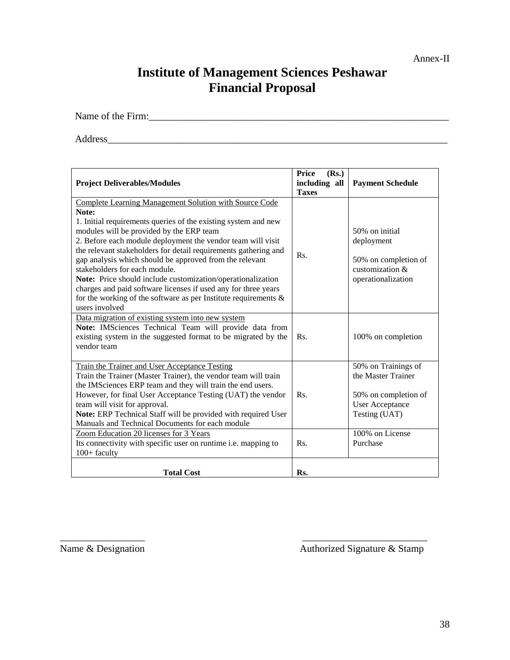#### Annex-II

# **Institute of Management Sciences Peshawar Financial Proposal**

Name of the Firm:\_\_\_\_\_\_\_\_\_\_\_\_\_\_\_\_\_\_\_\_\_\_\_\_\_\_\_\_\_\_\_\_\_\_\_\_\_\_\_\_\_\_\_\_\_\_\_\_\_\_\_\_\_\_\_\_\_\_\_\_

Address\_\_\_\_\_\_\_\_\_\_\_\_\_\_\_\_\_\_\_\_\_\_\_\_\_\_\_\_\_\_\_\_\_\_\_\_\_\_\_\_\_\_\_\_\_\_\_\_\_\_\_\_\_\_\_\_\_\_\_\_\_\_\_\_\_\_\_\_

| <b>Project Deliverables/Modules</b>                                                                                                                                                                                                                                                                                                                                                                                                                                                                                                                                                                                                  | Price<br>(Rs.)<br>including all<br><b>Taxes</b> | <b>Payment Schedule</b>                                                                                                         |
|--------------------------------------------------------------------------------------------------------------------------------------------------------------------------------------------------------------------------------------------------------------------------------------------------------------------------------------------------------------------------------------------------------------------------------------------------------------------------------------------------------------------------------------------------------------------------------------------------------------------------------------|-------------------------------------------------|---------------------------------------------------------------------------------------------------------------------------------|
| Complete Learning Management Solution with Source Code<br>Note:<br>1. Initial requirements queries of the existing system and new<br>modules will be provided by the ERP team<br>2. Before each module deployment the vendor team will visit<br>the relevant stakeholders for detail requirements gathering and<br>gap analysis which should be approved from the relevant<br>stakeholders for each module.<br>Note: Price should include customization/operationalization<br>charges and paid software licenses if used any for three years<br>for the working of the software as per Institute requirements $\&$<br>users involved | Rs.                                             | 50% on initial<br>deployment<br>50% on completion of<br>customization &<br>operationalization                                   |
| Data migration of existing system into new system<br>Note: IMSciences Technical Team will provide data from<br>existing system in the suggested format to be migrated by the<br>vendor team                                                                                                                                                                                                                                                                                                                                                                                                                                          | Rs.                                             | 100% on completion                                                                                                              |
| Train the Trainer and User Acceptance Testing<br>Train the Trainer (Master Trainer), the vendor team will train<br>the IMSciences ERP team and they will train the end users.<br>However, for final User Acceptance Testing (UAT) the vendor<br>team will visit for approval.<br>Note: ERP Technical Staff will be provided with required User<br>Manuals and Technical Documents for each module<br>Zoom Education 20 licenses for 3 Years                                                                                                                                                                                          | Rs.                                             | 50% on Trainings of<br>the Master Trainer<br>50% on completion of<br><b>User Acceptance</b><br>Testing (UAT)<br>100% on License |
| Its connectivity with specific user on runtime i.e. mapping to<br>$100+$ faculty                                                                                                                                                                                                                                                                                                                                                                                                                                                                                                                                                     | Rs.                                             | Purchase                                                                                                                        |
| <b>Total Cost</b>                                                                                                                                                                                                                                                                                                                                                                                                                                                                                                                                                                                                                    | Rs.                                             |                                                                                                                                 |

 $\overline{\phantom{a}}$  , and the contract of the contract of the contract of the contract of the contract of the contract of the contract of the contract of the contract of the contract of the contract of the contract of the contrac

Name & Designation Authorized Signature & Stamp